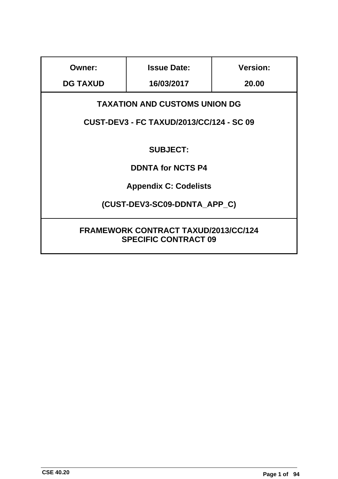| <b>Owner:</b>                                                              | <b>Issue Date:</b>                   | <b>Version:</b> |  |
|----------------------------------------------------------------------------|--------------------------------------|-----------------|--|
| <b>DG TAXUD</b>                                                            | 16/03/2017                           | 20.00           |  |
|                                                                            | <b>TAXATION AND CUSTOMS UNION DG</b> |                 |  |
| <b>CUST-DEV3 - FC TAXUD/2013/CC/124 - SC 09</b>                            |                                      |                 |  |
| <b>SUBJECT:</b>                                                            |                                      |                 |  |
| <b>DDNTA for NCTS P4</b>                                                   |                                      |                 |  |
| <b>Appendix C: Codelists</b>                                               |                                      |                 |  |
| (CUST-DEV3-SC09-DDNTA_APP_C)                                               |                                      |                 |  |
| <b>FRAMEWORK CONTRACT TAXUD/2013/CC/124</b><br><b>SPECIFIC CONTRACT 09</b> |                                      |                 |  |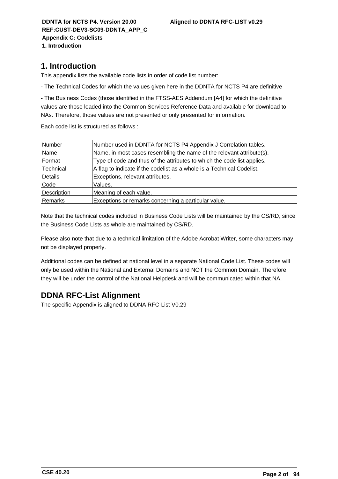**REF:CUST-DEV3-SC09-DDNTA\_APP\_C Appendix C: Codelists**

**1. Introduction**

## **1. Introduction**

This appendix lists the available code lists in order of code list number:

- The Technical Codes for which the values given here in the DDNTA for NCTS P4 are definitive

- The Business Codes (those identified in the FTSS-AES Addendum [A4] for which the definitive values are those loaded into the Common Services Reference Data and available for download to NAs. Therefore, those values are not presented or only presented for information.

Each code list is structured as follows :

| Number      | Number used in DDNTA for NCTS P4 Appendix J Correlation tables.         |
|-------------|-------------------------------------------------------------------------|
| Name        | Name, in most cases resembling the name of the relevant attribute(s).   |
| Format      | Type of code and thus of the attributes to which the code list applies. |
| Technical   | A flag to indicate if the codelist as a whole is a Technical Codelist.  |
| Details     | Exceptions, relevant attributes.                                        |
| Code        | Values.                                                                 |
| Description | Meaning of each value.                                                  |
| Remarks     | Exceptions or remarks concerning a particular value.                    |

Note that the technical codes included in Business Code Lists will be maintained by the CS/RD, since the Business Code Lists as whole are maintained by CS/RD.

Please also note that due to a technical limitation of the Adobe Acrobat Writer, some characters may not be displayed properly.

Additional codes can be defined at national level in a separate National Code List. These codes will only be used within the National and External Domains and NOT the Common Domain. Therefore they will be under the control of the National Helpdesk and will be communicated within that NA.

## **DDNA RFC-List Alignment**

The specific Appendix is aligned to DDNA RFC-List V0.29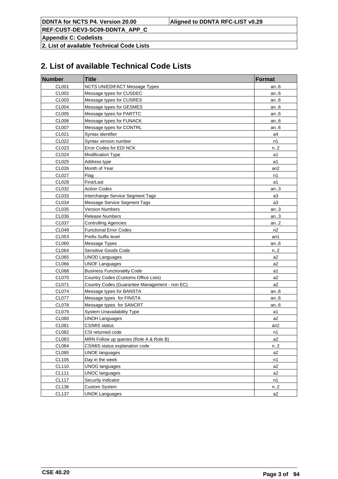**Appendix C: Codelists**

**2. List of available Technical Code Lists**

# **2. List of available Technical Code Lists**

| <b>Number</b> | <b>Title</b>                                  | <b>Format</b>   |
|---------------|-----------------------------------------------|-----------------|
| <b>CL001</b>  | NCTS UN/EDIFACT Message Types                 | an.6            |
| CL002         | Message types for CUSDEC                      | an $6$          |
| CL003         | Message types for CUSRES                      | an $6$          |
| <b>CL004</b>  | Message types for GESMES                      | an $6$          |
| <b>CL005</b>  | Message types for PARTTC                      | an $6$          |
| CL006         | Message types for FUNACK                      | an.6            |
| <b>CL007</b>  | Message types for CONTRL                      | an $6$          |
| CL021         | Syntax identifier                             | a4              |
| CL022         | Syntax version number                         | n1              |
| CL023         | Error Codes for EDI NCK                       | n.2             |
| CL024         | <b>Modification Type</b>                      | a1              |
| CL025         | Address type                                  | a1              |
| CL026         | Month of Year                                 | an2             |
| <b>CL027</b>  | Flag                                          | n1              |
| <b>CL028</b>  | First/Last                                    | a1              |
| CL032         | <b>Action Codes</b>                           | an.3            |
| CL033         | Interchange Service Segment Tags              | a3              |
| CL034         | Message Service Segment Tags                  | a3              |
| CL035         | <b>Version Numbers</b>                        | an.3            |
| CL036         | <b>Release Numbers</b>                        | an.3            |
| <b>CL037</b>  | <b>Controlling Agencies</b>                   | an.2            |
| CL049         | <b>Functional Error Codes</b>                 | n <sub>2</sub>  |
| CL053         | Prefix-Suffix level                           | an1             |
| <b>CL060</b>  | Message Types                                 | an $6$          |
| <b>CL064</b>  | Sensitive Goods Code                          | n.2             |
| CL065         | <b>UNOD Languages</b>                         | a2              |
| CL066         | <b>UNOF Languages</b>                         | a2              |
| <b>CL068</b>  | <b>Business Functionality Code</b>            | a1              |
| <b>CL070</b>  | Country Codes (Customs Office Lists)          | a2              |
| CL071         | Country Codes (Guarantee Management - non EC) | a2              |
| CL074         | Message types for BANSTA                      | an $6$          |
| <b>CL077</b>  | Message types for FINSTA                      | an6             |
| <b>CL078</b>  | Message types for SANCRT                      | an $6$          |
| CL079         | System Unavailability Type                    | a1              |
| <b>CL080</b>  | <b>UNOH Languages</b>                         | a2              |
| CL081         | CS/MIS status                                 | an <sub>2</sub> |
| CL082         | CSI returned code                             | n1              |
| CL083         | MRN Follow up queries (Role A & Role B)       | a2              |
| <b>CL084</b>  | CS/MIS status explanation code                | n.2             |
| <b>CL085</b>  | <b>UNOE languages</b>                         | a2              |
| CL105         | Day in the week                               | n1              |
| <b>CL110</b>  | <b>UNOG languages</b>                         | a2              |
| <b>CL111</b>  | <b>UNOC languages</b>                         | a2              |
| <b>CL117</b>  | Security indicator                            | n1              |
| CL136         | <b>Custom System</b>                          | n.2             |
| <b>CL137</b>  | <b>UNOK Languages</b>                         | a2              |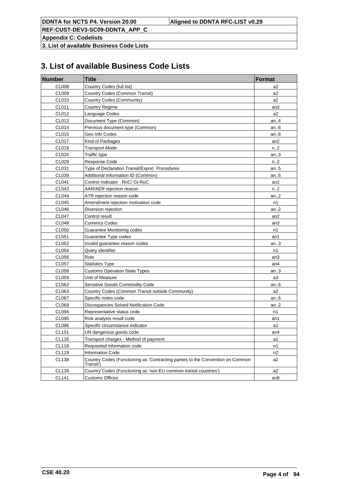**Appendix C: Codelists**

**3. List of available Business Code Lists**

# **3. List of available Business Code Lists**

| <b>Number</b> | Title                                                                                       | <b>Format</b>    |
|---------------|---------------------------------------------------------------------------------------------|------------------|
| <b>CL008</b>  | Country Codes (full list)                                                                   | a2               |
| CL009         | Country Codes (Common Transit)                                                              | a2               |
| CL010         | Country Codes (Community)                                                                   | a2               |
| CL011         | <b>Country Regime</b>                                                                       | an3              |
| CL012         | Language Codes                                                                              | a2               |
| CL013         | Document Type (Common)                                                                      | an4              |
| CL014         | Previous document type (Common)                                                             | an $6$           |
| CL015         | Geo Info Codes                                                                              | an $6$           |
| CL017         | Kind of Packages                                                                            | an <sub>2</sub>  |
| <b>CL018</b>  | <b>Transport Mode</b>                                                                       | n <sub>1</sub> 2 |
| CL020         | Traffic type                                                                                | an.3             |
| CL029         | Response Code                                                                               | n <sub>1</sub> 2 |
| CL031         | Type of Declaration Transit/Export Procedures                                               | an5              |
| CL039         | Additional Information ID (Common)                                                          | an $5$           |
| CL041         | Control Indicator RoC/ GI-RoC                                                               | an <sub>2</sub>  |
| CL043         | AAR/AER rejection reason                                                                    | n2               |
| <b>CL044</b>  | ATR rejection reason code                                                                   | an.2             |
| <b>CL045</b>  | Amendment rejection motivation code                                                         | n1               |
| <b>CL046</b>  | Diversion rejection                                                                         | an.2             |
| <b>CL047</b>  | Control result                                                                              | an2              |
| <b>CL048</b>  | <b>Currency Codes</b>                                                                       | an3              |
| CL050         | Guarantee Monitoring codes                                                                  | n1               |
| CL051         | Guarantee Type codes                                                                        | an1              |
| CL052         | Invalid guarantee reason codes                                                              | an.3             |
| CL054         | Query identifier                                                                            | n1               |
| CL056         | Role                                                                                        | an3              |
| CL057         | <b>Statistics Type</b>                                                                      | an4              |
| CL058         | <b>Customs Operation State Types</b>                                                        | an $3$           |
| CL059         | Unit of Measure                                                                             | a3               |
| CL062         | Sensitive Goods Commodity Code                                                              | an $6$           |
| CL063         | Country Codes (Common Transit outside Community)                                            | a2               |
| CL067         | Specific notes code                                                                         | an $6$           |
| CL069         | Discrepancies Solved Notification Code                                                      | an.2             |
| <b>CL094</b>  | Representative status code                                                                  | n1               |
| <b>CL095</b>  | Risk analysis result code                                                                   | an1              |
| <b>CL096</b>  | Specific circumstance indicator                                                             | a1               |
| CL101         | UN dangerous goods code                                                                     | an4              |
| CL116         | Transport charges - Method of payment                                                       | a1               |
| <b>CL118</b>  | Requested information code                                                                  | n1               |
| <b>CL119</b>  | <b>Information Code</b>                                                                     | n2               |
| <b>CL138</b>  | Country Codes (Functioning as 'Contracting parties to the Convention on Common<br>Transit') | a2               |
| CL139         | Country Codes (Functioning as 'non-EU common transit countries')                            | a2               |
| <b>CL141</b>  | <b>Customs Offices</b>                                                                      | an8              |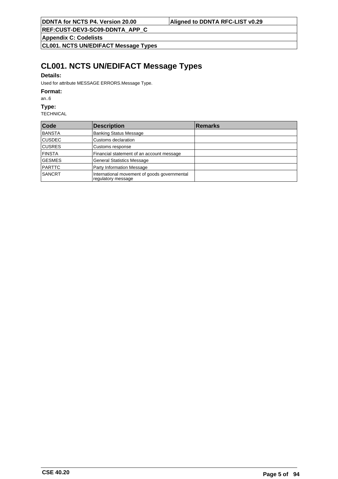**Appendix C: Codelists**

**CL001. NCTS UN/EDIFACT Message Types**

# **CL001. NCTS UN/EDIFACT Message Types**

### **Details:**

Used for attribute MESSAGE ERRORS.Message Type.

### **Format:**

an..6

### **Type:**

| Code          | Description                                                        | <b>Remarks</b> |
|---------------|--------------------------------------------------------------------|----------------|
| BANSTA        | <b>Banking Status Message</b>                                      |                |
| <b>CUSDEC</b> | Customs declaration                                                |                |
| <b>CUSRES</b> | Customs response                                                   |                |
| <b>FINSTA</b> | Financial statement of an account message                          |                |
| <b>GESMES</b> | <b>General Statistics Message</b>                                  |                |
| <b>PARTTC</b> | Party Information Message                                          |                |
| SANCRT        | International movement of goods governmental<br>regulatory message |                |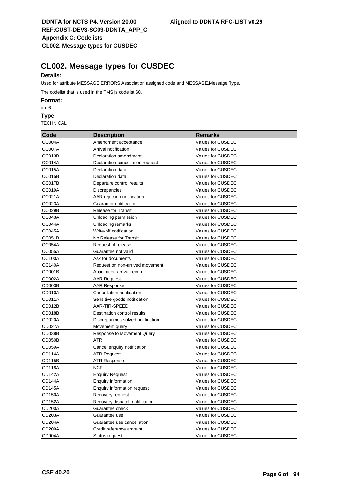**Appendix C: Codelists**

**CL002. Message types for CUSDEC**

# **CL002. Message types for CUSDEC**

### **Details:**

Used for attribute MESSAGE ERRORS.Association assigned code and MESSAGE.Message Type.

The codelist that is used in the TMS is codelist 60.

**Format:**

an..6

**Type:**

| Code          | <b>Description</b>                | <b>Remarks</b>    |
|---------------|-----------------------------------|-------------------|
| <b>CC004A</b> | Amendment acceptance              | Values for CUSDEC |
| <b>CC007A</b> | Arrival notification              | Values for CUSDEC |
| <b>CC013B</b> | Declaration amendment             | Values for CUSDEC |
| <b>CC014A</b> | Declaration cancellation request  | Values for CUSDEC |
| <b>CC015A</b> | Declaration data                  | Values for CUSDEC |
| <b>CC015B</b> | Declaration data                  | Values for CUSDEC |
| <b>CC017B</b> | Departure control results         | Values for CUSDEC |
| <b>CC019A</b> | Discrepancies                     | Values for CUSDEC |
| CC021A        | AAR rejection notification        | Values for CUSDEC |
| CC023A        | Guarantor notification            | Values for CUSDEC |
| <b>CC029B</b> | <b>Release for Transit</b>        | Values for CUSDEC |
| <b>CC043A</b> | Unloading permission              | Values for CUSDEC |
| <b>CC044A</b> | Unloading remarks                 | Values for CUSDEC |
| <b>CC045A</b> | Write-off notification            | Values for CUSDEC |
| <b>CC051B</b> | No Release for Transit            | Values for CUSDEC |
| <b>CC054A</b> | Request of release                | Values for CUSDEC |
| <b>CC055A</b> | Guarantee not valid               | Values for CUSDEC |
| <b>CC100A</b> | Ask for documents                 | Values for CUSDEC |
| <b>CC140A</b> | Request on non-arrived movement   | Values for CUSDEC |
| <b>CD001B</b> | Anticipated arrival record        | Values for CUSDEC |
| <b>CD002A</b> | <b>AAR Request</b>                | Values for CUSDEC |
| <b>CD003B</b> | <b>AAR Response</b>               | Values for CUSDEC |
| <b>CD010A</b> | Cancellation notification         | Values for CUSDEC |
| <b>CD011A</b> | Sensitive goods notification      | Values for CUSDEC |
| CD012B        | AAR-TIR-SPEED                     | Values for CUSDEC |
| <b>CD018B</b> | Destination control results       | Values for CUSDEC |
| <b>CD020A</b> | Discrepancies solved notification | Values for CUSDEC |
| <b>CD027A</b> | Movement query                    | Values for CUSDEC |
| <b>CD038B</b> | Response to Movement Query        | Values for CUSDEC |
| <b>CD050B</b> | <b>ATR</b>                        | Values for CUSDEC |
| <b>CD059A</b> | Cancel enquiry notification       | Values for CUSDEC |
| <b>CD114A</b> | <b>ATR Request</b>                | Values for CUSDEC |
| <b>CD115B</b> | <b>ATR Response</b>               | Values for CUSDEC |
| <b>CD118A</b> | <b>NCF</b>                        | Values for CUSDEC |
| <b>CD142A</b> | <b>Enquiry Request</b>            | Values for CUSDEC |
| <b>CD144A</b> | <b>Enquiry information</b>        | Values for CUSDEC |
| <b>CD145A</b> | Enquiry information request       | Values for CUSDEC |
| <b>CD150A</b> | Recovery request                  | Values for CUSDEC |
| <b>CD152A</b> | Recovery dispatch notification    | Values for CUSDEC |
| <b>CD200A</b> | Guarantee check                   | Values for CUSDEC |
| CD203A        | Guarantee use                     | Values for CUSDEC |
| CD204A        | Guarantee use cancellation        | Values for CUSDEC |
| CD209A        | Credit reference amount           | Values for CUSDEC |
| CD904A        | Status request                    | Values for CUSDEC |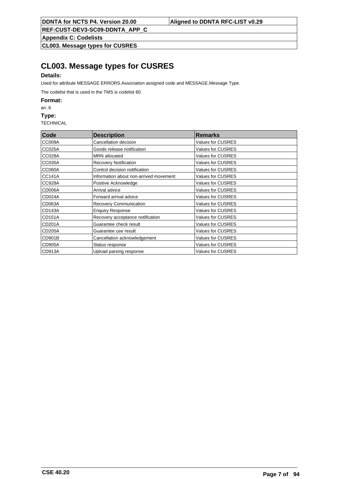**Appendix C: Codelists**

**CL003. Message types for CUSRES**

# **CL003. Message types for CUSRES**

### **Details:**

Used for attribute MESSAGE ERRORS.Association assigned code and MESSAGE.Message Type.

The codelist that is used in the TMS is codelist 60.

**Format:**

an..6

**Type:**

| Code                | <b>Description</b>                     | <b>Remarks</b>    |
|---------------------|----------------------------------------|-------------------|
| CC009A              | Cancellation decision                  | Values for CUSRES |
| CC025A              | Goods release notification             | Values for CUSRES |
| CC028A              | <b>MRN</b> allocated                   | Values for CUSRES |
| <b>CC035A</b>       | <b>Recovery Notification</b>           | Values for CUSRES |
| CC060A              | Control decision notification          | Values for CUSRES |
| CC141A              | Information about non-arrived movement | Values for CUSRES |
| CC928A              | Positive Acknowledge                   | Values for CUSRES |
| CD006A              | Arrival advice                         | Values for CUSRES |
| CD024A              | Forward arrival advice                 | Values for CUSRES |
| CD063A              | Recovery Communication                 | Values for CUSRES |
| CD143A              | <b>Enquiry Response</b>                | Values for CUSRES |
| CD151A              | Recovery acceptance notification       | Values for CUSRES |
| CD <sub>201</sub> A | Guarantee check result                 | Values for CUSRES |
| CD <sub>205</sub> A | Guarantee use result                   | Values for CUSRES |
| CD901B              | Cancellation acknowledgement           | Values for CUSRES |
| CD905A              | Status response                        | Values for CUSRES |
| CD913A              | Upload parsing response                | Values for CUSRES |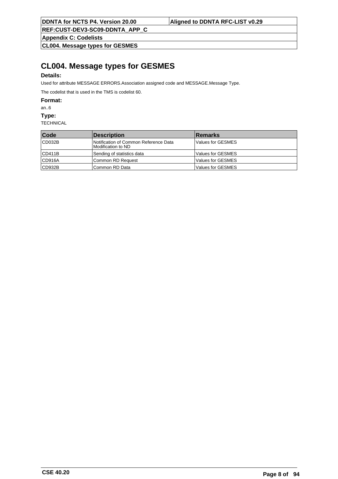**Appendix C: Codelists**

**CL004. Message types for GESMES**

# **CL004. Message types for GESMES**

### **Details:**

Used for attribute MESSAGE ERRORS.Association assigned code and MESSAGE.Message Type.

The codelist that is used in the TMS is codelist 60.

**Format:**

an..6

**Type:**

| Code              | <b>Description</b>                                           | <b>Remarks</b>    |
|-------------------|--------------------------------------------------------------|-------------------|
| CD032B            | Notification of Common Reference Data<br>IModification to ND | Values for GESMES |
| CD411B            | Sending of statistics data                                   | Values for GESMES |
| CD916A            | Common RD Request                                            | Values for GESMES |
| $\mathsf{CD932B}$ | Common RD Data                                               | Values for GESMES |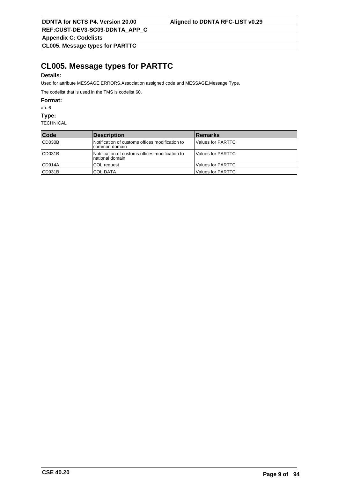**Appendix C: Codelists**

**CL005. Message types for PARTTC**

# **CL005. Message types for PARTTC**

### **Details:**

Used for attribute MESSAGE ERRORS.Association assigned code and MESSAGE.Message Type.

The codelist that is used in the TMS is codelist 60.

**Format:**

an..6

**Type:**

| Code   | Description                                                         | <b>Remarks</b>      |
|--------|---------------------------------------------------------------------|---------------------|
| CD030B | Notification of customs offices modification to<br>common domain    | Values for PARTTC   |
| CD031B | Notification of customs offices modification to<br>Inational domain | Values for PARTTC   |
| CD914A | ICOL reauest                                                        | l Values for PARTTC |
| CD931B | ICOL DATA                                                           | l Values for PARTTC |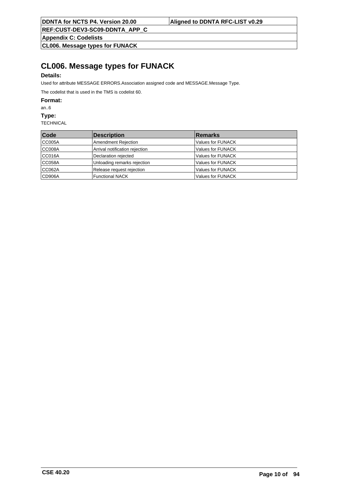**Appendix C: Codelists**

**CL006. Message types for FUNACK**

# **CL006. Message types for FUNACK**

### **Details:**

Used for attribute MESSAGE ERRORS.Association assigned code and MESSAGE.Message Type.

The codelist that is used in the TMS is codelist 60.

**Format:**

an..6

**Type:**

| Code   | Description                    | <b>Remarks</b>      |
|--------|--------------------------------|---------------------|
| CC005A | Amendment Rejection            | l Values for FUNACK |
| CC008A | Arrival notification rejection | Values for FUNACK   |
| CC016A | Declaration rejected           | Values for FUNACK   |
| CC058A | Unloading remarks rejection    | Values for FUNACK   |
| CC062A | Release request rejection      | Values for FUNACK   |
| CD906A | Functional NACK                | Values for FUNACK   |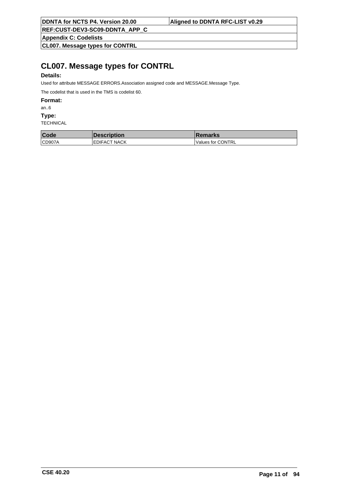**DDNTA for NCTS P4. Version 20.00 Aligned to DDNTA RFC-LIST v0.29**

**REF:CUST-DEV3-SC09-DDNTA\_APP\_C**

**Appendix C: Codelists**

**CL007. Message types for CONTRL**

# **CL007. Message types for CONTRL**

### **Details:**

Used for attribute MESSAGE ERRORS.Association assigned code and MESSAGE.Message Type.

The codelist that is used in the TMS is codelist 60.

**Format:**

an..6

**Type:**

| Code   | <i><b>Description</b></i> | ⊺Remarks          |
|--------|---------------------------|-------------------|
| CD907A | <b>IEDIFACT NACK</b>      | Values for CONTRL |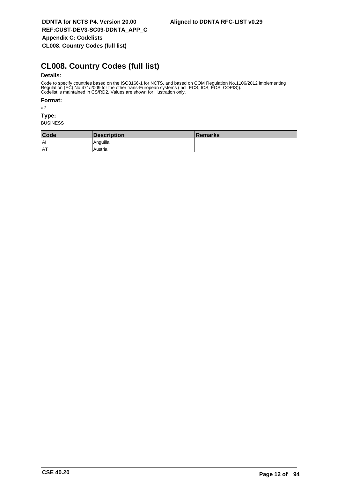**Appendix C: Codelists**

**CL008. Country Codes (full list)**

# **CL008. Country Codes (full list)**

### **Details:**

Code to specify countries based on the ISO3166-1 for NCTS, and based on COM Regulation No.1106/2012 implementing Regulation (EC) No 471/2009 for the other trans-European systems (incl. ECS, ICS, EOS, COPIS)). Codelist is maintained in CS/RD2. Values are shown for illustration only.

### **Format:**

a2

### **Type:**

| Code | Description | <b>Remarks</b> |
|------|-------------|----------------|
| AI   | Anguilla    |                |
| lat  | Austria     |                |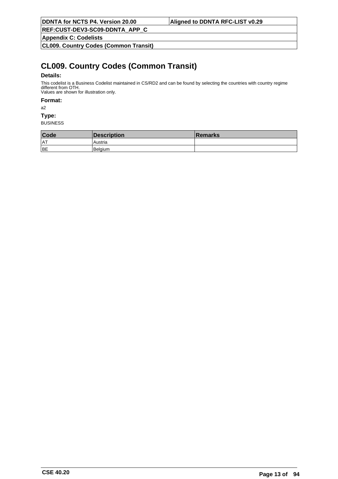**Appendix C: Codelists**

**CL009. Country Codes (Common Transit)**

# **CL009. Country Codes (Common Transit)**

### **Details:**

This codelist is a Business Codelist maintained in CS/RD2 and can be found by selecting the countries with country regime different from OTH. Values are shown for illustration only.

**Format:**

a2

**Type:**

| Code | Description | <b>Remarks</b> |
|------|-------------|----------------|
| AT   | Austria     |                |
| BE   | l Belaium   |                |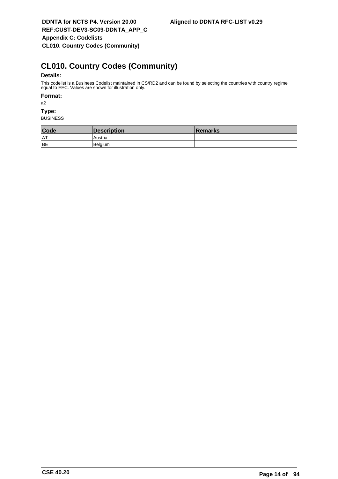**Appendix C: Codelists**

**CL010. Country Codes (Community)**

# **CL010. Country Codes (Community)**

### **Details:**

This codelist is a Business Codelist maintained in CS/RD2 and can be found by selecting the countries with country regime equal to EEC. Values are shown for illustration only.

### **Format:**

a2

### **Type:**

| Code | <b>Description</b> | ∣Remarks |
|------|--------------------|----------|
| 1AT  | Austria            |          |
| BE   | l Belaium          |          |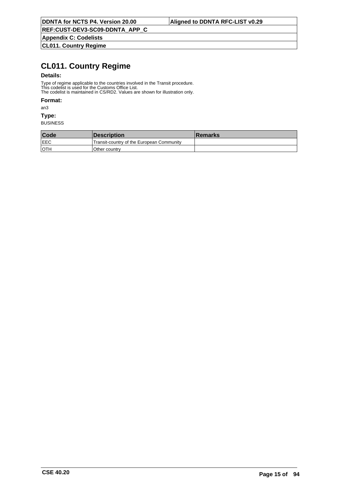**Appendix C: Codelists CL011. Country Regime**

# **CL011. Country Regime**

### **Details:**

Type of regime applicable to the countries involved in the Transit procedure. This codelist is used for the Customs Office List. The codelist is maintained in CS/RD2. Values are shown for illustration only.

**Format:**

an3

**Type:**

| Code        | <b>IDescription</b>                       | <b>Remarks</b> |
|-------------|-------------------------------------------|----------------|
| <b>IEEC</b> | Transit-country of the European Community |                |
| <b>OTH</b>  | Other country                             |                |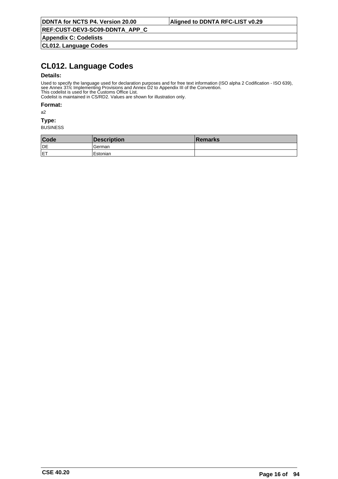**Appendix C: Codelists CL012. Language Codes**

# **CL012. Language Codes**

### **Details:**

Used to specify the language used for declaration purposes and for free text information (ISO alpha 2 Codification - ISO 639), see Annex 37/c Implementing Provisions and Annex D2 to Appendix III of the Convention. This codelist is used for the Customs Office List. Codelist is maintained in CS/RD2. Values are shown for illustration only.

### **Format:**

a2

### **Type:**

| Code       | Description | <b>Remarks</b> |
|------------|-------------|----------------|
| <b>IDE</b> | German      |                |
| <b>IET</b> | Estonian    |                |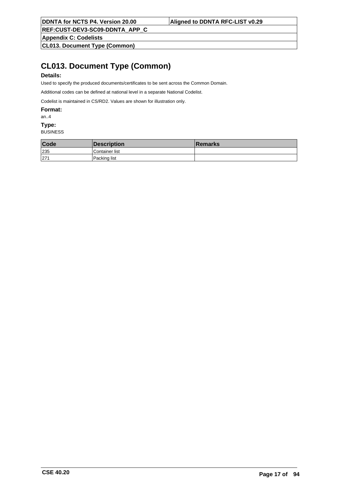**DDNTA for NCTS P4. Version 20.00 Aligned to DDNTA RFC-LIST v0.29**

**REF:CUST-DEV3-SC09-DDNTA\_APP\_C**

**Appendix C: Codelists**

**CL013. Document Type (Common)**

# **CL013. Document Type (Common)**

### **Details:**

Used to specify the produced documents/certificates to be sent across the Common Domain.

Additional codes can be defined at national level in a separate National Codelist.

Codelist is maintained in CS/RD2. Values are shown for illustration only.

**Format:**

### an..4

### **Type:**

| Code | <i><b>Description</b></i> | <b>Remarks</b> |
|------|---------------------------|----------------|
| 235  | 'Container list           |                |
| 271  | l Packing list            |                |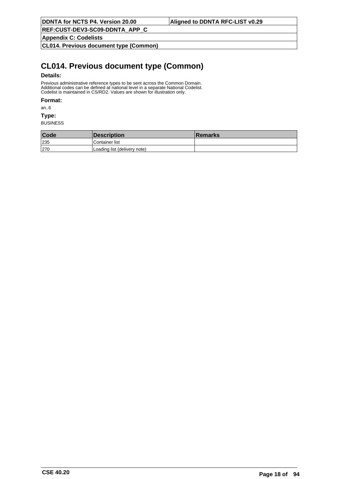**Appendix C: Codelists**

**CL014. Previous document type (Common)**

# **CL014. Previous document type (Common)**

### **Details:**

Previous administrative reference types to be sent across the Common Domain. Additional codes can be defined at national level in a separate National Codelist. Codelist is maintained in CS/RD2. Values are shown for illustration only.

### **Format:**

an..6

### **Type:**

| Code | <i><b>Description</b></i>    | <b>Remarks</b> |
|------|------------------------------|----------------|
| 235  | l Container list             |                |
| 270  | Loading list (delivery note) |                |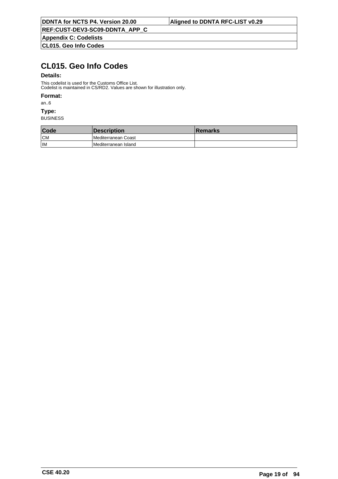**Appendix C: Codelists CL015. Geo Info Codes**

# **CL015. Geo Info Codes**

### **Details:**

This codelist is used for the Customs Office List. Codelist is maintained in CS/RD2. Values are shown for illustration only.

### **Format:**

an..6

### **Type:**

| Code | <i><b>Description</b></i>   | <b>Remarks</b> |
|------|-----------------------------|----------------|
| CM   | <b>IMediterranean Coast</b> |                |
| l IM | Mediterranean Island        |                |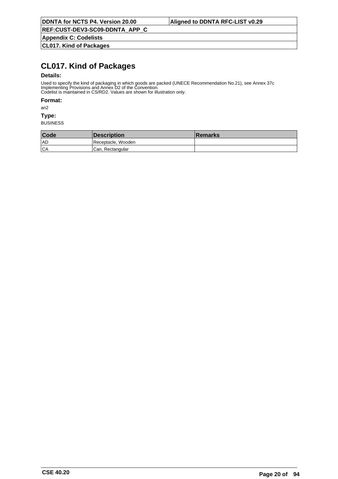**Appendix C: Codelists**

**CL017. Kind of Packages**

# **CL017. Kind of Packages**

### **Details:**

Used to specify the kind of packaging in which goods are packed (UNECE Recommendation No.21), see Annex 37c Implementing Provisions and Annex D2 of the Convention. Codelist is maintained in CS/RD2. Values are shown for illustration only.

**Format:**

an2

**Type:**

| Code | <i><b>Description</b></i> | <b>Remarks</b> |
|------|---------------------------|----------------|
| 1 AD | Receptacle, Wooden        |                |
| CA   | Can, Rectangular          |                |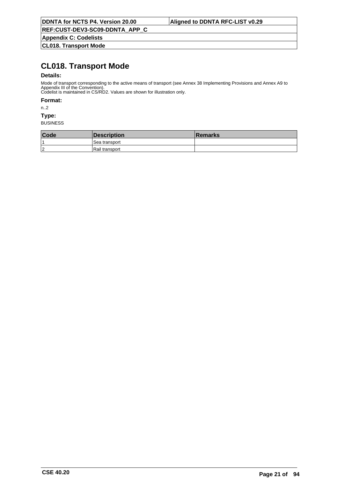**Appendix C: Codelists CL018. Transport Mode**

# **CL018. Transport Mode**

### **Details:**

Mode of transport corresponding to the active means of transport (see Annex 38 Implementing Provisions and Annex A9 to Appendix III of the Convention).

Codelist is maintained in CS/RD2. Values are shown for illustration only.

**Format:**

n..2

**Type:**

| Code | Description      | <b>Remarks</b> |
|------|------------------|----------------|
|      | l Sea transport  |                |
| 12   | l Rail transport |                |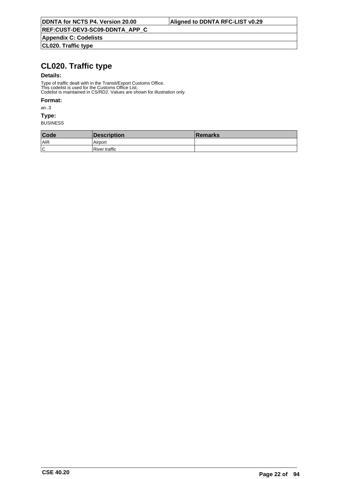**Appendix C: Codelists CL020. Traffic type**

# **CL020. Traffic type**

### **Details:**

Type of traffic dealt with in the Transit/Export Customs Office. This codelist is used for the Customs Office List. Codelist is maintained in CS/RD2. Values are shown for illustration only.

**Format:**

an..3

**Type:**

| Code | Description    | <b>Remarks</b> |
|------|----------------|----------------|
| AIR  | <b>Airport</b> |                |
| ١c   | River traffic  |                |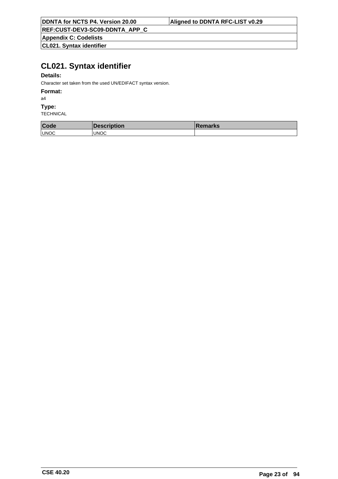| DDNTA for NCTS P4. Version 20.00 | <b>Aligned to DDNTA RFC-LIST v0.29</b> |
|----------------------------------|----------------------------------------|
| REF:CUST-DEV3-SC09-DDNTA APP C   |                                        |
| <b>Appendix C: Codelists</b>     |                                        |
| CL021. Syntax identifier         |                                        |

# **CL021. Syntax identifier**

### **Details:**

Character set taken from the used UN/EDIFACT syntax version.

### **Format:**

a4

## **Type:**

| Code        | Description | <b>Remarks</b> |
|-------------|-------------|----------------|
| <b>UNOC</b> | <b>UNOC</b> |                |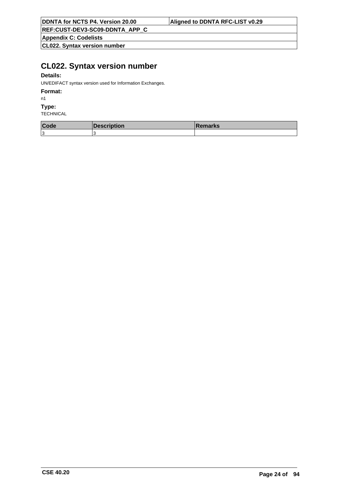| <b>DDNTA for NCTS P4. Version 20.00</b> | Aligned to DDNTA RFC-LIST v0.29 |
|-----------------------------------------|---------------------------------|
| REF:CUST-DEV3-SC09-DDNTA APP C          |                                 |
| <b>Appendix C: Codelists</b>            |                                 |

**CL022. Syntax version number**

# **CL022. Syntax version number**

### **Details:**

UN/EDIFACT syntax version used for Information Exchanges.

### **Format:**

n1

### **Type:**

| Code | $D$ aaarintian<br><b>vescription</b> | <b>IRemarks</b> |
|------|--------------------------------------|-----------------|
| 1З   |                                      |                 |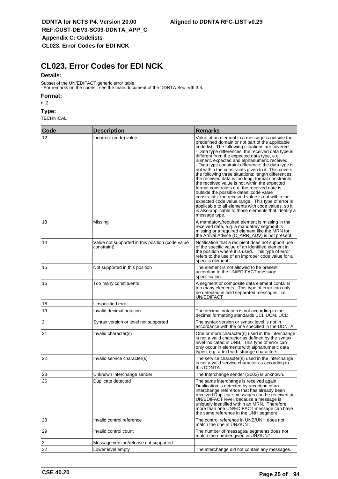**Appendix C: Codelists**

**CL023. Error Codes for EDI NCK**

# **CL023. Error Codes for EDI NCK**

### **Details:**

Subset of the UN/EDIFACT generic error table. - For remarks on the codes : see the main document of the DDNTA Sec. VIII.3.3.

### **Format:**

n..2

### **Type:**

| Code | <b>Description</b>                                              | <b>Remarks</b>                                                                                                                                                                                                                                                                                                                                                                                                                                                                                                                                                                                                                                                                                                                                                                                                                                                                                                           |
|------|-----------------------------------------------------------------|--------------------------------------------------------------------------------------------------------------------------------------------------------------------------------------------------------------------------------------------------------------------------------------------------------------------------------------------------------------------------------------------------------------------------------------------------------------------------------------------------------------------------------------------------------------------------------------------------------------------------------------------------------------------------------------------------------------------------------------------------------------------------------------------------------------------------------------------------------------------------------------------------------------------------|
| 12   | Incorrect (code) value                                          | Value of an element in a message is outside the<br>predefined domain or not part of the applicable<br>code list. The following situations are covered:<br>- Data type differences: the received data type is<br>different from the expected data type, e.g.<br>numeric expected and alphanumeric received.<br>- Data type constraint difference: the data type is<br>not within the constraints given to it. This covers<br>the following three situations: length differences:<br>the received data is too long; format constraints:<br>the received value is not within the expected<br>format constraints e.g. the received date is<br>outside the possible dates; code value<br>constraints: the received value is not within the<br>expected code value range. This type of error is<br>applicable to all elements with code values, so it<br>is also applicable to those elements that identify a<br>message type. |
| 13   | Missing                                                         | A mandatory/required element is missing in the<br>received data, e.g. a mandatory segment is<br>missing or a required element like the MRN for<br>the Arrival Advice (C_ARR_ADV) is not present.                                                                                                                                                                                                                                                                                                                                                                                                                                                                                                                                                                                                                                                                                                                         |
| 14   | Value not supported in this position (code value<br>constraint) | Notification that a recipient does not support use.<br>of the specific value of an identified element in<br>the position where it is used. This type of error<br>refers to the use of an improper code value for a<br>specific element.                                                                                                                                                                                                                                                                                                                                                                                                                                                                                                                                                                                                                                                                                  |
| 15   | Not supported in this position                                  | The element is not allowed to be present<br>according to the UN/EDIFACT message<br>specification.                                                                                                                                                                                                                                                                                                                                                                                                                                                                                                                                                                                                                                                                                                                                                                                                                        |
| 16   | Too many constituents                                           | A segment or composite data element contains<br>too many elements. This type of error can only<br>be detected in field separated messages like<br>UN/EDIFACT                                                                                                                                                                                                                                                                                                                                                                                                                                                                                                                                                                                                                                                                                                                                                             |
| 18   | Unspecified error                                               |                                                                                                                                                                                                                                                                                                                                                                                                                                                                                                                                                                                                                                                                                                                                                                                                                                                                                                                          |
| 19   | Invalid decimal notation                                        | The decimal notation is not according to the<br>decimal formatting standards UCI, UCM, UCD.                                                                                                                                                                                                                                                                                                                                                                                                                                                                                                                                                                                                                                                                                                                                                                                                                              |
| 2    | Syntax version or level not supported                           | The syntax version or syntax level is not in<br>accordance with the one specified in the DDNTA                                                                                                                                                                                                                                                                                                                                                                                                                                                                                                                                                                                                                                                                                                                                                                                                                           |
| 21   | Invalid character(s)                                            | One or more character(s) used in the interchange<br>is not a valid character as defined by the syntax<br>level indicated in UNB. This type of error can<br>only occur in elements with alphanumeric data<br>types, e.g. a text with strange characters.                                                                                                                                                                                                                                                                                                                                                                                                                                                                                                                                                                                                                                                                  |
| 22   | Invalid service character(s)                                    | The service character(s) used in the interchange<br>is not a valid service character as according to<br>this DDNTA.                                                                                                                                                                                                                                                                                                                                                                                                                                                                                                                                                                                                                                                                                                                                                                                                      |
| 23   | Unknown interchange sender                                      | The Interchange sender (S002) is unknown.                                                                                                                                                                                                                                                                                                                                                                                                                                                                                                                                                                                                                                                                                                                                                                                                                                                                                |
| 26   | Duplicate detected                                              | The same interchange is received again.<br>Duplication is detected by reception of an<br>interchange reference that has already been<br>received.Duplicate messages can be received at<br>UN/EDIFACT level, because a message is<br>uniquely identified within an MRN. Therefore,<br>more than one UN/EDIFACT message can have<br>the same reference in the UNH segment                                                                                                                                                                                                                                                                                                                                                                                                                                                                                                                                                  |
| 28   | Invalid control reference                                       | The control reference in UNB/UNH does not<br>match the one in UNZ/UNT.                                                                                                                                                                                                                                                                                                                                                                                                                                                                                                                                                                                                                                                                                                                                                                                                                                                   |
| 29   | Invalid control count                                           | The number of messages/ segments does not<br>match the number given in UNZ/UNT.                                                                                                                                                                                                                                                                                                                                                                                                                                                                                                                                                                                                                                                                                                                                                                                                                                          |
| 3    | Message version/release not supported                           |                                                                                                                                                                                                                                                                                                                                                                                                                                                                                                                                                                                                                                                                                                                                                                                                                                                                                                                          |
| 32   | Lower level empty                                               | The interchange did not contain any messages.                                                                                                                                                                                                                                                                                                                                                                                                                                                                                                                                                                                                                                                                                                                                                                                                                                                                            |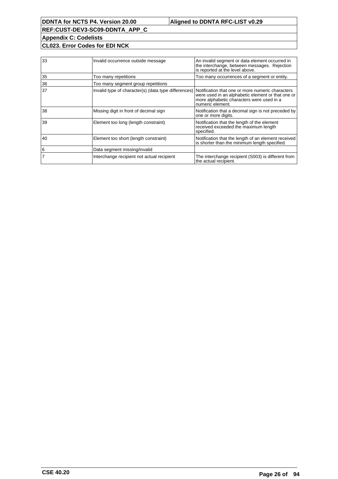**Appendix C: Codelists**

**CL023. Error Codes for EDI NCK**

| 33 | Invalid occurrence outside message                                                                    | An invalid segment or data element occurred in<br>the interchange, between messages. Rejection<br>is reported at the level above. |
|----|-------------------------------------------------------------------------------------------------------|-----------------------------------------------------------------------------------------------------------------------------------|
| 35 | Too many repetitions                                                                                  | Too many occurrences of a segment or entity.                                                                                      |
| 36 | Too many segment group repetitions                                                                    |                                                                                                                                   |
| 37 | Invalid type of character(s) (data type differences) Notification that one or more numeric characters | were used in an alphabetic element or that one or<br>more alphabetic characters were used in a<br>numeric element.                |
| 38 | Missing digit in front of decimal sign                                                                | Notification that a decimal sign is not preceded by<br>one or more digits.                                                        |
| 39 | Element too long (length constraint)                                                                  | Notification that the length of the element<br>received exceeded the maximum length<br>specified.                                 |
| 40 | Element too short (length constraint)                                                                 | Notification that the length of an element received<br>is shorter than the minimum length specified.                              |
| 6  | Data segment missing/invalid                                                                          |                                                                                                                                   |
|    | Interchange recipient not actual recipient                                                            | The interchange recipient (S003) is different from<br>the actual recipient.                                                       |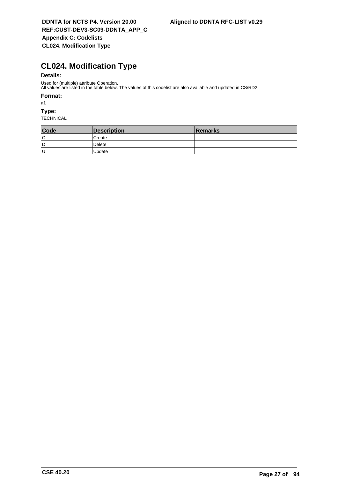**Appendix C: Codelists CL024. Modification Type**

**CL024. Modification Type**

### **Details:**

Used for (multiple) attribute Operation.

All values are listed in the table below. The values of this codelist are also available and updated in CS/RD2.

### **Format:**

a1

**Type:**

| Code | Description   | <b>Remarks</b> |
|------|---------------|----------------|
| ١c   | <b>Create</b> |                |
| ۱D   | Delete        |                |
| ΙU   | Update        |                |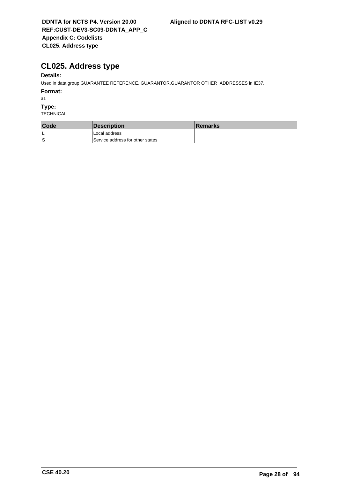| DDNTA for NCTS P4. Version 20.00 | Aligned to DDNTA RFC-LIST v0.29 |
|----------------------------------|---------------------------------|
| REF:CUST-DEV3-SC09-DDNTA APP C   |                                 |
| <b>Appendix C: Codelists</b>     |                                 |
| CL025. Address type              |                                 |

# **CL025. Address type**

### **Details:**

Used in data group GUARANTEE REFERENCE. GUARANTOR.GUARANTOR OTHER ADDRESSES in IE37.

**Format:**

a1

**Type:**

| Code | <i><b>Description</b></i>        | ∣Remarks |
|------|----------------------------------|----------|
| L    | Local address                    |          |
| ١s   | Service address for other states |          |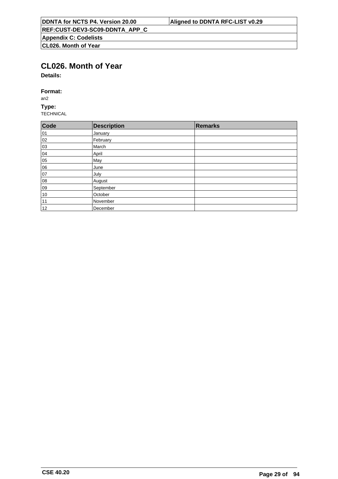**REF:CUST-DEV3-SC09-DDNTA\_APP\_C Appendix C: Codelists**

**CL026. Month of Year**

# **CL026. Month of Year**

**Details:**

### **Format:**

an2

**Type:** TECHNICAL

| Code | Description | Remarks |
|------|-------------|---------|
| 01   | January     |         |
| 02   | February    |         |
| 03   | March       |         |
| 04   | April       |         |
| 05   | May         |         |
| 06   | June        |         |
| 07   | July        |         |
| 08   | August      |         |
| 09   | September   |         |
| 10   | October     |         |
| 11   | November    |         |
| 12   | December    |         |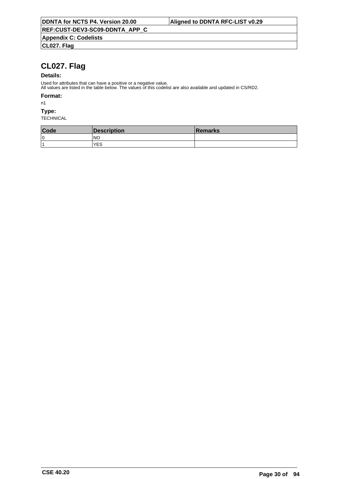## **CL027. Flag**

### **Details:**

Used for attributes that can have a positive or a negative value.

All values are listed in the table below. The values of this codelist are also available and updated in CS/RD2.

### **Format:**

n1

### **Type:**

| Code | Description | <b>Remarks</b> |
|------|-------------|----------------|
| ١o   | INO         |                |
|      | <b>YES</b>  |                |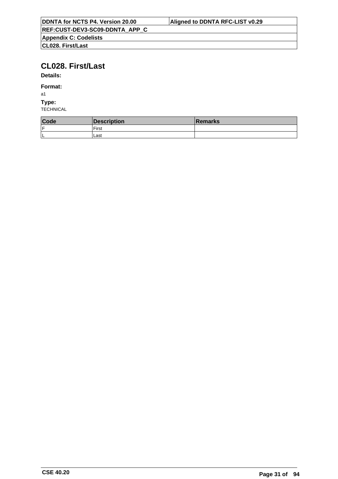| DDNTA for NCTS P4. Version 20.00      | <b>Aligned to DDNTA RFC-LIST v0.29</b> |
|---------------------------------------|----------------------------------------|
| <b>REF:CUST-DEV3-SC09-DDNTA APP C</b> |                                        |
| <b>Appendix C: Codelists</b>          |                                        |
| <b>CL028. First/Last</b>              |                                        |

# **CL028. First/Last**

**Details:**

### **Format:**

a1

**Type:**

| Code | Description | <b>Remarks</b> |
|------|-------------|----------------|
| ١F   | l First     |                |
| L    | Last        |                |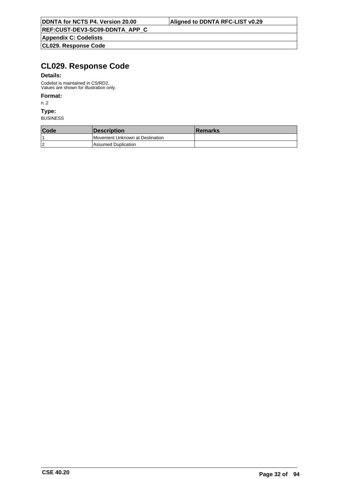| DDNTA for NCTS P4. Version 20.00      | <b>Aligned to DDNTA RFC-LIST v0.29</b> |
|---------------------------------------|----------------------------------------|
| <b>REF:CUST-DEV3-SC09-DDNTA APP C</b> |                                        |

**Appendix C: Codelists CL029. Response Code**

# **CL029. Response Code**

### **Details:**

Codelist is maintained in CS/RD2. Values are shown for illustration only.

### **Format:**

n..2

**Type:**

| Code | <i><b>Description</b></i>       | ∣Remarks |
|------|---------------------------------|----------|
|      | Movement Unknown at Destination |          |
| 12   | Assumed Duplication             |          |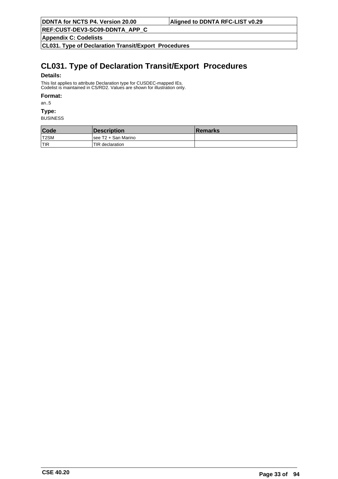| <b>DDNTA for NCTS P4. Version 20.00</b> |  |
|-----------------------------------------|--|
|-----------------------------------------|--|

**Aligned to DDNTA RFC-LIST v0.29** 

**REF:CUST-DEV3-SC09-DDNTA\_APP\_C**

**Appendix C: Codelists**

**CL031. Type of Declaration Transit/Export Procedures**

## **CL031. Type of Declaration Transit/Export Procedures**

### **Details:**

This list applies to attribute Declaration type for CUSDEC-mapped IEs. Codelist is maintained in CS/RD2. Values are shown for illustration only.

### **Format:**

an..5

### **Type:**

| Code       | <i><b>Description</b></i> | <b>Remarks</b> |
|------------|---------------------------|----------------|
| T2SM       | Isee T2 + San Marino      |                |
| <b>TIR</b> | TIR declaration           |                |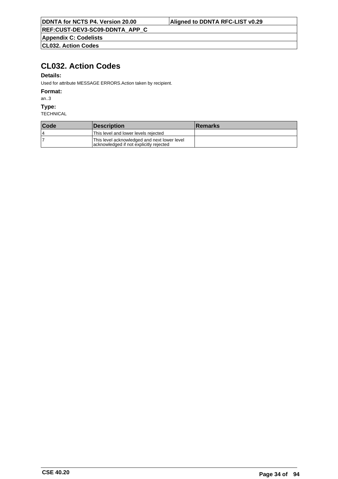| DDNTA for NCTS P4. Version 20.00 | Aligned to DDNTA RFC-LIST v0.29 |
|----------------------------------|---------------------------------|
|                                  |                                 |

**Appendix C: Codelists**

**CL032. Action Codes**

# **CL032. Action Codes**

### **Details:**

Used for attribute MESSAGE ERRORS.Action taken by recipient.

### **Format:**

an..3

### **Type:**

| Code | <i><b>IDescription</b></i>                                                              | <b>Remarks</b> |
|------|-----------------------------------------------------------------------------------------|----------------|
| 4    | This level and lower levels rejected                                                    |                |
|      | This level acknowledged and next lower level<br>acknowledged if not explicitly rejected |                |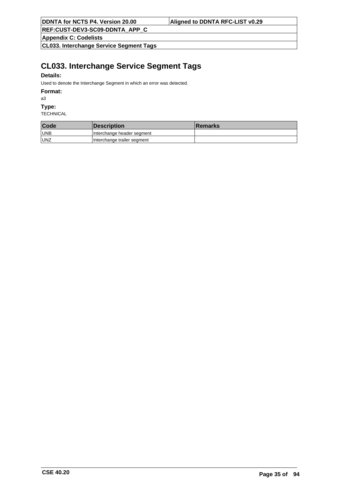**DDNTA for NCTS P4. Version 20.00 Aligned to DDNTA RFC-LIST v0.29**

**REF:CUST-DEV3-SC09-DDNTA\_APP\_C**

**Appendix C: Codelists**

**CL033. Interchange Service Segment Tags**

# **CL033. Interchange Service Segment Tags**

### **Details:**

Used to denote the Interchange Segment in which an error was detected.

### **Format:**

a3

### **Type:**

| Code       | <b>Description</b>          | <b>Remarks</b> |
|------------|-----------------------------|----------------|
| <b>UNB</b> | Interchange header segment  |                |
| <b>UNZ</b> | Interchange trailer segment |                |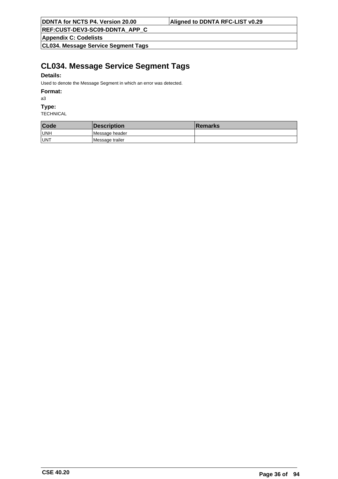| <b>DDNTA for NCTS P4. Version 20.00</b> |  |
|-----------------------------------------|--|
|-----------------------------------------|--|

**Appendix C: Codelists**

**CL034. Message Service Segment Tags**

# **CL034. Message Service Segment Tags**

### **Details:**

Used to denote the Message Segment in which an error was detected.

### **Format:**

a3

### **Type:**

| Code       | <b>Description</b> | <b>Remarks</b> |
|------------|--------------------|----------------|
| UNH        | Message header     |                |
| <b>UNT</b> | Message trailer    |                |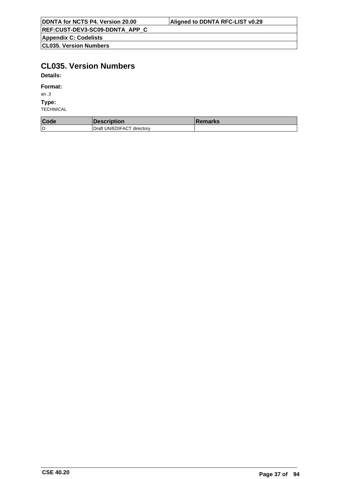| <b>DDNTA for NCTS P4. Version 20.00</b> | Aligned to DDNTA RFC-LIST v0.29 |
|-----------------------------------------|---------------------------------|
| REF:CUST-DEV3-SC09-DDNTA APP C          |                                 |
| <b>Appendix C: Codelists</b>            |                                 |
| <b>CL035. Version Numbers</b>           |                                 |

**CL035. Version Numbers**

# **CL035. Version Numbers**

**Details:**

#### **Format:**

an..3

#### **Type:**

| Code | <b>DESCRIPTION</b>            | emarks |
|------|-------------------------------|--------|
| l D  | Draft UN/EDIFACT<br>directory |        |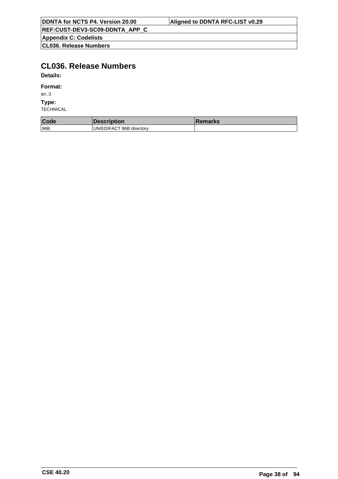| DDNTA for NCTS P4. Version 20.00      | <b>Aligned to DDNTA RFC-LIST v0.29</b> |
|---------------------------------------|----------------------------------------|
| <b>REF:CUST-DEV3-SC09-DDNTA APP C</b> |                                        |
| <b>Appendix C: Codelists</b>          |                                        |
| <b>CL036. Release Numbers</b>         |                                        |

# **CL036. Release Numbers**

**Details:**

#### **Format:**

an..3

**Type:**

| Code | <b>VESCHIDITON</b>       | REIHAIRS |
|------|--------------------------|----------|
| 96B  | UN/EDIFACT 96B directory |          |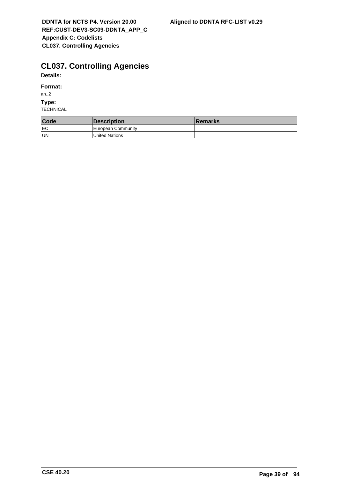| DDNTA for NCTS P4. Version 20.00      | Aligned to DDNTA RFC-LIST v0.29 |
|---------------------------------------|---------------------------------|
| <b>REF:CUST-DEV3-SC09-DDNTA APP C</b> |                                 |
| <b>Appendix C: Codelists</b>          |                                 |

**CL037. Controlling Agencies**

# **CL037. Controlling Agencies**

## **Details:**

#### **Format:**

an..2

### **Type:**

| Code | <i><b>Description</b></i> | <b>Remarks</b> |
|------|---------------------------|----------------|
| lEC  | European Community        |                |
| un   | United Nations            |                |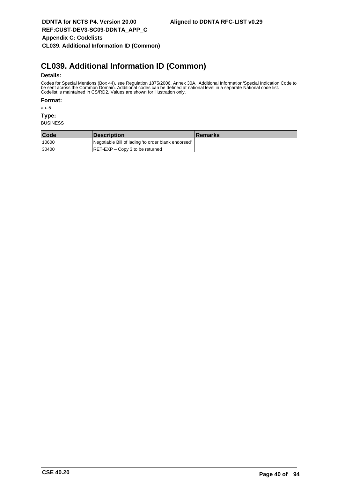**Appendix C: Codelists**

**CL039. Additional Information ID (Common)**

## **CL039. Additional Information ID (Common)**

#### **Details:**

Codes for Special Mentions (Box 44), see Regulation 1875/2006, Annex 30A. 'Additional Information/Special Indication Code to be sent across the Common Domain. Additional codes can be defined at national level in a separate National code list. Codelist is maintained in CS/RD2. Values are shown for illustration only.

**Format:**

an..5

**Type:**

| Code  | <i><b>Description</b></i>                           | <b>Remarks</b> |
|-------|-----------------------------------------------------|----------------|
| 10600 | Negotiable Bill of lading 'to order blank endorsed' |                |
| 30400 | $RET-EXP - Copy 3$ to be returned                   |                |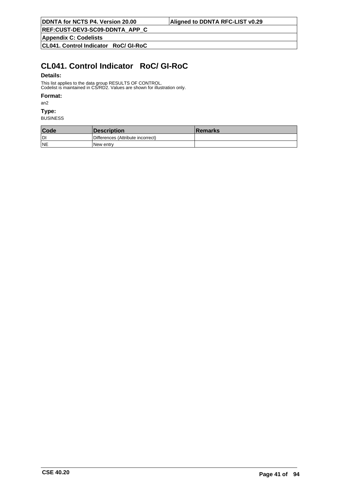**DDNTA for NCTS P4. Version 20.00 Aligned to DDNTA RFC-LIST v0.29**

**REF:CUST-DEV3-SC09-DDNTA\_APP\_C**

**Appendix C: Codelists**

**CL041. Control Indicator RoC/ GI-RoC**

# **CL041. Control Indicator RoC/ GI-RoC**

#### **Details:**

This list applies to the data group RESULTS OF CONTROL. Codelist is maintained in CS/RD2. Values are shown for illustration only.

#### **Format:**

an2

#### **Type:**

| Code      | <i><b>Description</b></i>         | <b>Remarks</b> |
|-----------|-----------------------------------|----------------|
| IDI       | Differences (Attribute incorrect) |                |
| <b>NE</b> | INew entrv                        |                |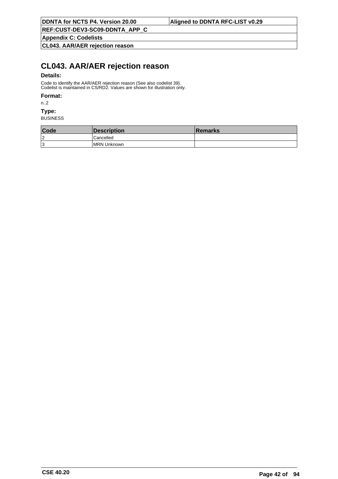**Appendix C: Codelists**

**CL043. AAR/AER rejection reason**

## **CL043. AAR/AER rejection reason**

#### **Details:**

Code to identify the AAR/AER rejection reason (See also codelist 39). Codelist is maintained in CS/RD2. Values are shown for illustration only.

#### **Format:**

n..2

### **Type:**

| Code | Description         | <b>Remarks</b> |
|------|---------------------|----------------|
| 12   | Cancelled           |                |
| 13   | <b>IMRN Unknown</b> |                |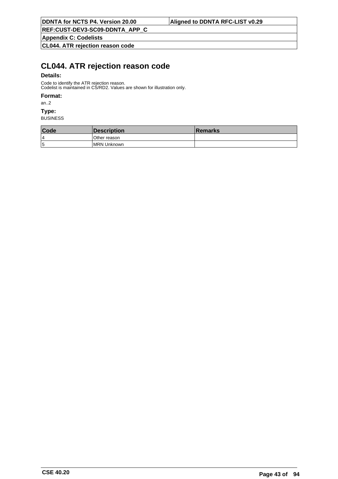**Appendix C: Codelists**

**CL044. ATR rejection reason code**

## **CL044. ATR rejection reason code**

#### **Details:**

Code to identify the ATR rejection reason. Codelist is maintained in CS/RD2. Values are shown for illustration only.

#### **Format:**

an..2

#### **Type:**

| Code | <i><b>Description</b></i> | <b>Remarks</b> |
|------|---------------------------|----------------|
| 4    | Other reason              |                |
| 15   | <b>IMRN Unknown</b>       |                |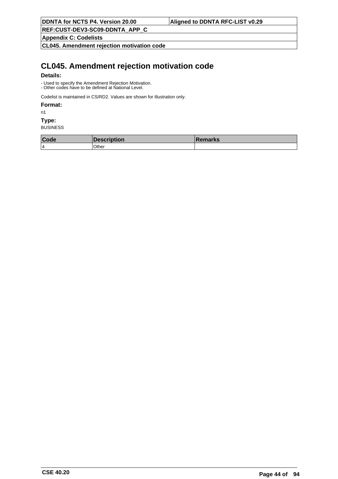**DDNTA for NCTS P4. Version 20.00 Aligned to DDNTA RFC-LIST v0.29**

**REF:CUST-DEV3-SC09-DDNTA\_APP\_C**

**Appendix C: Codelists**

**CL045. Amendment rejection motivation code**

## **CL045. Amendment rejection motivation code**

#### **Details:**

- Used to specify the Amendment Rejection Motivation. - Other codes have to be defined at National Level.

Codelist is maintained in CS/RD2. Values are shown for illustration only.

#### **Format:**

n1

#### **Type:**

| Code | Description | ∣Remarks |
|------|-------------|----------|
| 14   | Other       |          |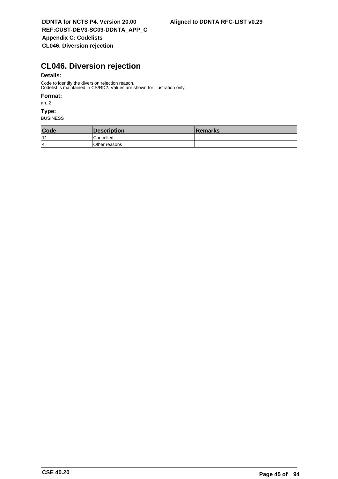**Appendix C: Codelists**

**CL046. Diversion rejection**

## **CL046. Diversion rejection**

#### **Details:**

Code to identify the diversion rejection reason. Codelist is maintained in CS/RD2. Values are shown for illustration only.

#### **Format:**

an..2

#### **Type:**

| Code | <i><b>Description</b></i> | <b>Remarks</b> |
|------|---------------------------|----------------|
| 11   | l Cancelled               |                |
| 4    | Other reasons             |                |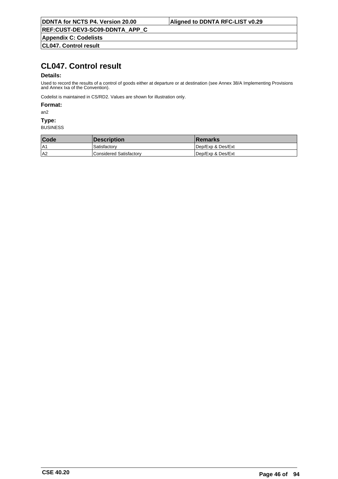**Appendix C: Codelists CL047. Control result**

## **CL047. Control result**

#### **Details:**

Used to record the results of a control of goods either at departure or at destination (see Annex 38/A Implementing Provisions and Annex Ixa of the Convention).

Codelist is maintained in CS/RD2. Values are shown for illustration only.

#### **Format:**

an2

#### **Type:**

| <b>Code</b> | <b>Description</b>      | <b>Remarks</b>    |
|-------------|-------------------------|-------------------|
| A1          | Satisfactory            | Dep/Exp & Des/Ext |
| A2          | Considered Satisfactory | Dep/Exp & Des/Ext |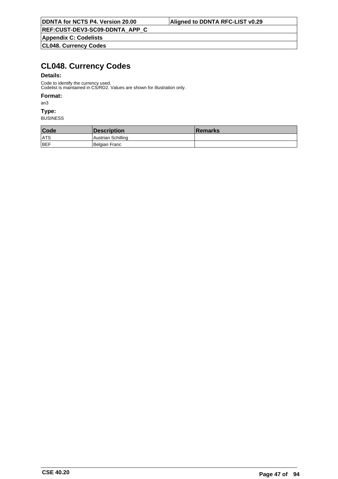**Appendix C: Codelists CL048. Currency Codes**

## **CL048. Currency Codes**

#### **Details:**

Code to identify the currency used. Codelist is maintained in CS/RD2. Values are shown for illustration only.

#### **Format:**

an3

## **Type:**

| Code       | <b>Description</b>   | <b>∣Remarks</b> |
|------------|----------------------|-----------------|
| ATS        | l Austrian Schilling |                 |
| <b>BEF</b> | IBelgian Franc       |                 |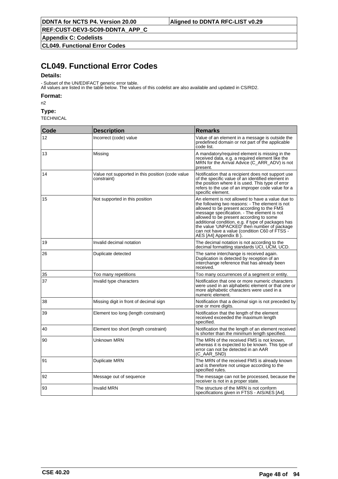**Appendix C: Codelists**

**CL049. Functional Error Codes**

## **CL049. Functional Error Codes**

#### **Details:**

- Subset of the UN/EDIFACT generic error table.

All values are listed in the table below. The values of this codelist are also available and updated in CS/RD2.

#### **Format:**

n2

**Type:**

| Code | <b>Description</b>                                              | <b>Remarks</b>                                                                                                                                                                                                                                                                                                                                                                                                             |
|------|-----------------------------------------------------------------|----------------------------------------------------------------------------------------------------------------------------------------------------------------------------------------------------------------------------------------------------------------------------------------------------------------------------------------------------------------------------------------------------------------------------|
| 12   | Incorrect (code) value                                          | Value of an element in a message is outside the<br>predefined domain or not part of the applicable<br>code list.                                                                                                                                                                                                                                                                                                           |
| 13   | Missing                                                         | A mandatory/required element is missing in the<br>received data, e.g. a required element like the<br>MRN for the Arrival Advice (C_ARR_ADV) is not<br>present.                                                                                                                                                                                                                                                             |
| 14   | Value not supported in this position (code value<br>constraint) | Notification that a recipient does not support use<br>of the specific value of an identified element in<br>the position where it is used. This type of error<br>refers to the use of an improper code value for a<br>specific element.                                                                                                                                                                                     |
| 15   | Not supported in this position                                  | An element is not allowed to have a value due to<br>the following two reasons: - The element is not<br>allowed to be present according to the FMS<br>message specification. - The element is not<br>allowed to be present according to some<br>additional condition, e.g. if type of packages has<br>the value 'UNPACKED' then number of package<br>can not have a value (condition C60 of FTSS -<br>AES [A4] Appendix B). |
| 19   | Invalid decimal notation                                        | The decimal notation is not according to the<br>decimal formatting standards UCI, UCM, UCD.                                                                                                                                                                                                                                                                                                                                |
| 26   | Duplicate detected                                              | The same interchange is received again.<br>Duplication is detected by reception of an<br>interchange reference that has already been<br>received.                                                                                                                                                                                                                                                                          |
| 35   | Too many repetitions                                            | Too many occurrences of a segment or entity.                                                                                                                                                                                                                                                                                                                                                                               |
| 37   | Invalid type characters                                         | Notification that one or more numeric characters<br>were used in an alphabetic element or that one or<br>more alphabetic characters were used in a<br>numeric element.                                                                                                                                                                                                                                                     |
| 38   | Missing digit in front of decimal sign                          | Notification that a decimal sign is not preceded by<br>one or more digits.                                                                                                                                                                                                                                                                                                                                                 |
| 39   | Element too long (length constraint)                            | Notification that the length of the element<br>received exceeded the maximum length<br>specified.                                                                                                                                                                                                                                                                                                                          |
| 40   | Element too short (length constraint)                           | Notification that the length of an element received<br>is shorter than the minimum length specified.                                                                                                                                                                                                                                                                                                                       |
| 90   | Unknown MRN                                                     | The MRN of the received FMS is not known,<br>whereas it is expected to be known. This type of<br>error can not be detected in an AAR<br>(C_AAR_SND)                                                                                                                                                                                                                                                                        |
| 91   | Duplicate MRN                                                   | The MRN of the received FMS is already known<br>and is therefore not unique according to the<br>specified rules.                                                                                                                                                                                                                                                                                                           |
| 92   | Message out of sequence                                         | The message can not be processed, because the<br>receiver is not in a proper state.                                                                                                                                                                                                                                                                                                                                        |
| 93   | <b>Invalid MRN</b>                                              | The structure of the MRN is not conform<br>specifications given in FTSS - AIS/AES [A4].                                                                                                                                                                                                                                                                                                                                    |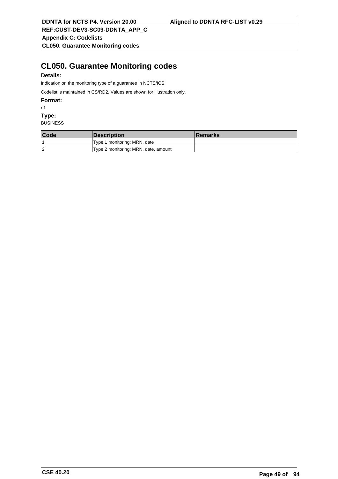**DDNTA for NCTS P4. Version 20.00 Aligned to DDNTA RFC-LIST v0.29**

**REF:CUST-DEV3-SC09-DDNTA\_APP\_C**

**Appendix C: Codelists**

**CL050. Guarantee Monitoring codes**

## **CL050. Guarantee Monitoring codes**

#### **Details:**

Indication on the monitoring type of a guarantee in NCTS/ICS.

Codelist is maintained in CS/RD2. Values are shown for illustration only.

**Format:**

n1

**Type:**

| Code | <i><b>Description</b></i>            | <b>Remarks</b> |
|------|--------------------------------------|----------------|
|      | Type 1 monitoring: MRN, date         |                |
| 12   | Type 2 monitoring: MRN, date, amount |                |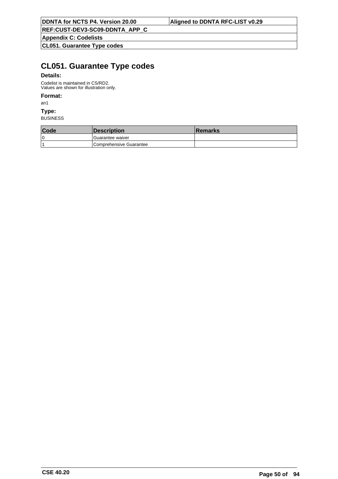| DDNTA for NCTS P4. Version 20.00      | <b>Aligned to DDNTA RFC-LIST v0.29</b> |
|---------------------------------------|----------------------------------------|
| <b>REF:CUST-DEV3-SC09-DDNTA APP C</b> |                                        |

**Appendix C: Codelists**

**CL051. Guarantee Type codes**

# **CL051. Guarantee Type codes**

#### **Details:**

Codelist is maintained in CS/RD2. Values are shown for illustration only.

#### **Format:**

an1

**Type:**

| Code | <i><b>Description</b></i> | ∣Remarks |
|------|---------------------------|----------|
| 0 ا  | <b>IGuarantee waiver</b>  |          |
|      | Comprehensive Guarantee   |          |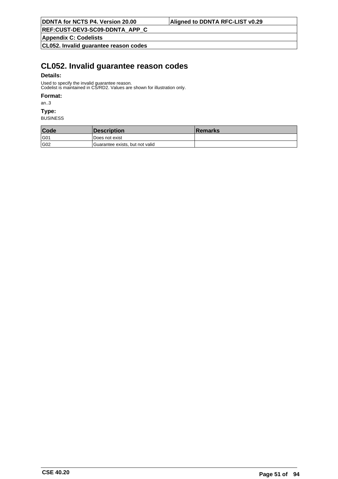| DDNTA for NCTS P4. Version 20.00 | Aligned to DDNTA RFC-LIST v0.29 |
|----------------------------------|---------------------------------|
| REF:CUST-DEV3-SC09-DDNTA APP C   |                                 |
|                                  |                                 |

**Appendix C: Codelists**

**CL052. Invalid guarantee reason codes**

## **CL052. Invalid guarantee reason codes**

#### **Details:**

Used to specify the invalid guarantee reason. Codelist is maintained in CS/RD2. Values are shown for illustration only.

#### **Format:**

an..3

#### **Type:**

| Code | Description                     | <b>Remarks</b> |
|------|---------------------------------|----------------|
| G01  | l Does not exist                |                |
| G02  | Guarantee exists, but not valid |                |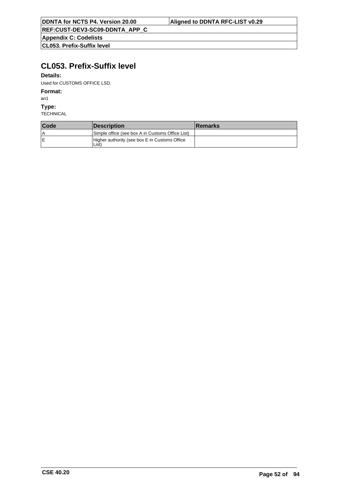**Appendix C: Codelists**

**CL053. Prefix-Suffix level**

## **CL053. Prefix-Suffix level**

#### **Details:**

Used for CUSTOMS OFFICE LSD.

#### **Format:**

an1

#### **Type:**

| Code | <i><b>IDescription</b></i>                             | <b>IRemarks</b> |
|------|--------------------------------------------------------|-----------------|
| ۱A   | Simple office (see box A in Customs Office List)       |                 |
| ΙE   | Higher authority (see box E in Customs Office<br>List) |                 |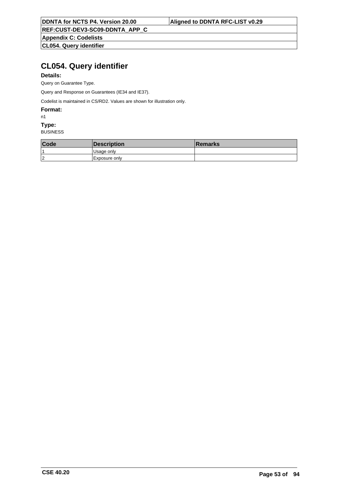**DDNTA for NCTS P4. Version 20.00 Aligned to DDNTA RFC-LIST v0.29**

**REF:CUST-DEV3-SC09-DDNTA\_APP\_C**

**Appendix C: Codelists**

**CL054. Query identifier**

# **CL054. Query identifier**

#### **Details:**

Query on Guarantee Type.

Query and Response on Guarantees (IE34 and IE37).

Codelist is maintained in CS/RD2. Values are shown for illustration only.

**Format:**

### n1

**Type:**

| Code | <i><b>Description</b></i> | <b>Remarks</b> |
|------|---------------------------|----------------|
|      | <sub>l</sub> Usage only   |                |
| 12   | Exposure only             |                |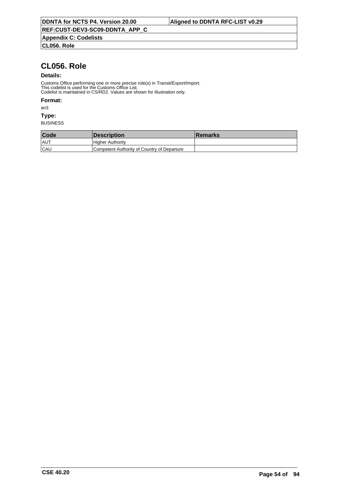**Appendix C: Codelists**

**CL056. Role**

## **CL056. Role**

#### **Details:**

Customs Office performing one or more precise role(s) in Transit/Export/Import. This codelist is used for the Customs Office List. Codelist is maintained in CS/RD2. Values are shown for illustration only.

#### **Format:**

an3

#### **Type:**

| Code        | <i><b>Description</b></i>                   | <b>Remarks</b> |
|-------------|---------------------------------------------|----------------|
| <b>LAUT</b> | l Hiaher Authoritv                          |                |
| <b>CAU</b>  | Competent Authority of Country of Departure |                |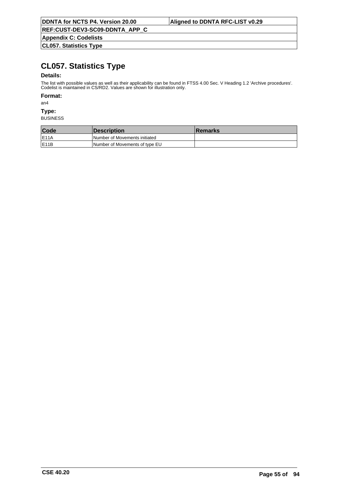| DDNTA for NCTS P4. Version 20.00 | Aligned to DDNTA RFC-LIST v0.29 |
|----------------------------------|---------------------------------|
|                                  |                                 |

**Appendix C: Codelists**

**CL057. Statistics Type**

# **CL057. Statistics Type**

#### **Details:**

The list with possible values as well as their applicability can be found in FTSS 4.00 Sec. V Heading 1.2 'Archive procedures'. Codelist is maintained in CS/RD2. Values are shown for illustration only.

#### **Format:**

an4

### **Type:**

| Code | <i><b>Description</b></i>      | ∣Remarks |
|------|--------------------------------|----------|
| E11A | Number of Movements initiated  |          |
| E11B | Number of Movements of type EU |          |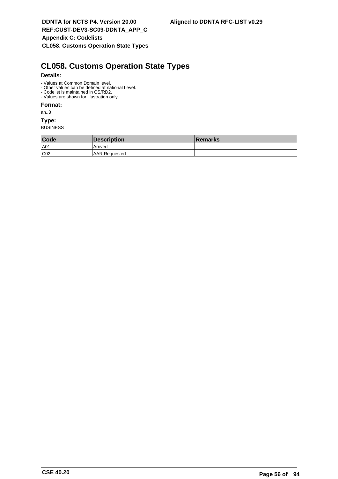| DDNTA for NCTS P4. Version 20.00 | Aligned to DDNTA RFC-LIST v0.29 |
|----------------------------------|---------------------------------|
| REF:CUST-DEV3-SC09-DDNTA APP C   |                                 |

**Appendix C: Codelists**

**CL058. Customs Operation State Types**

# **CL058. Customs Operation State Types**

#### **Details:**

#### - Values at Common Domain level.

- Other values can be defined at national Level.
- Codelist is maintained in CS/RD2. - Values are shown for illustration only.
- 

### **Format:**

an..3

#### **Type:**

| Code | Description           | <b>Remarks</b> |
|------|-----------------------|----------------|
| A01  | Arrived               |                |
| CO2  | <b>IAAR Requested</b> |                |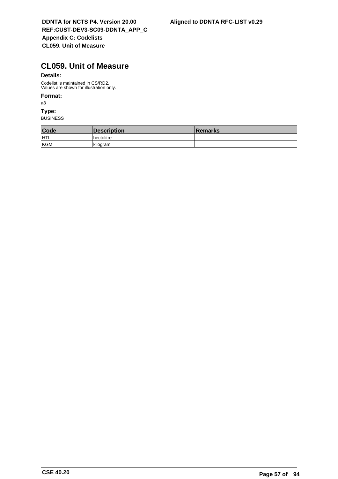| <b>IDDNTA for NCTS P4. Version 20.00</b> | Aligned to DDNTA RFC-LIST v0.29 |
|------------------------------------------|---------------------------------|
| <b>REF:CUST-DEV3-SC09-DDNTA APP C</b>    |                                 |
| <b>Appendix C: Codelists</b>             |                                 |
|                                          |                                 |

**CL059. Unit of Measure**

# **CL059. Unit of Measure**

#### **Details:**

Codelist is maintained in CS/RD2. Values are shown for illustration only.

#### **Format:**

a3

**Type:**

| Code | Description | ∣Remarks |
|------|-------------|----------|
| HTL  | hectolitre  |          |
| KGM  | l kiloaram  |          |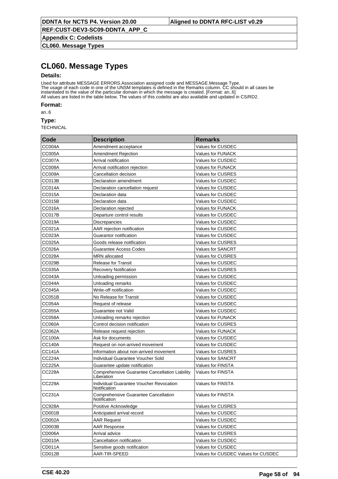**Appendix C: Codelists CL060. Message Types**

## **CL060. Message Types**

#### **Details:**

Used for attribute MESSAGE ERRORS.Association assigned code and MESSAGE.Message Type. The usage of each code in one of the UNSM templates is defined in the Remarks column. CC should in all cases be instantiated to the value of the particular domain in which the message is created. [Format: an..6] All values are listed in the table below. The values of this codelist are also available and updated in CS/RD2.

#### **Format:**

an..6

#### **Type:**

| Code          | <b>Description</b>                                           | <b>Remarks</b>                      |
|---------------|--------------------------------------------------------------|-------------------------------------|
| <b>CC004A</b> | Amendment acceptance                                         | Values for CUSDEC                   |
| <b>CC005A</b> | <b>Amendment Rejection</b>                                   | Values for FUNACK                   |
| <b>CC007A</b> | Arrival notification                                         | Values for CUSDEC                   |
| <b>CC008A</b> | Arrival notification rejection                               | Values for FUNACK                   |
| <b>CC009A</b> | Cancellation decision                                        | Values for CUSRES                   |
| <b>CC013B</b> | Declaration amendment                                        | Values for CUSDEC                   |
| <b>CC014A</b> | Declaration cancellation request                             | Values for CUSDEC                   |
| <b>CC015A</b> | Declaration data                                             | Values for CUSDEC                   |
| <b>CC015B</b> | Declaration data                                             | Values for CUSDEC                   |
| <b>CC016A</b> | Declaration rejected                                         | Values for FUNACK                   |
| <b>CC017B</b> | Departure control results                                    | Values for CUSDEC                   |
| <b>CC019A</b> | Discrepancies                                                | Values for CUSDEC                   |
| CC021A        | AAR rejection notification                                   | Values for CUSDEC                   |
| CC023A        | Guarantor notification                                       | Values for CUSDEC                   |
| CC025A        | Goods release notification                                   | <b>Values for CUSRES</b>            |
| <b>CC026A</b> | <b>Guarantee Access Codes</b>                                | Values for SANCRT                   |
| <b>CC028A</b> | <b>MRN</b> allocated                                         | Values for CUSRES                   |
| <b>CC029B</b> | <b>Release for Transit</b>                                   | Values for CUSDEC                   |
| <b>CC035A</b> | <b>Recovery Notification</b>                                 | Values for CUSRES                   |
| <b>CC043A</b> | Unloading permission                                         | Values for CUSDEC                   |
| <b>CC044A</b> | Unloading remarks                                            | Values for CUSDEC                   |
| <b>CC045A</b> | Write-off notification                                       | Values for CUSDEC                   |
| <b>CC051B</b> | No Release for Transit                                       | Values for CUSDEC                   |
| <b>CC054A</b> | Request of release                                           | Values for CUSDEC                   |
| <b>CC055A</b> | Guarantee not Valid                                          | Values for CUSDEC                   |
| CC058A        | Unloading remarks rejection                                  | Values for FUNACK                   |
| <b>CC060A</b> | Control decision notification                                | Values for CUSRES                   |
| <b>CC062A</b> | Release request rejection                                    | Values for FUNACK                   |
| <b>CC100A</b> | Ask for documents                                            | Values for CUSDEC                   |
| <b>CC140A</b> | Request on non-arrived movement                              | Values for CUSDEC                   |
| <b>CC141A</b> | Information about non-arrived movement                       | Values for CUSRES                   |
| <b>CC224A</b> | Individual Guarantee Voucher Sold                            | <b>Values for SANCRT</b>            |
| CC225A        | Guarantee update notification                                | <b>Values for FINSTA</b>            |
| <b>CC228A</b> | Comprehensive Guarantee Cancellation Liability<br>Liberation | <b>Values for FINSTA</b>            |
| <b>CC229A</b> | Individual Guarantee Voucher Revocation<br>Notification      | <b>Values for FINSTA</b>            |
| CC231A        | Comprehensive Guarantee Cancellation<br>Notification         | Values for FINSTA                   |
| CC928A        | Positive Acknowledge                                         | Values for CUSRES                   |
| CD001B        | Anticipated arrival record                                   | Values for CUSDEC                   |
| CD002A        | <b>AAR Request</b>                                           | Values for CUSDEC                   |
| CD003B        | <b>AAR Response</b>                                          | Values for CUSDEC                   |
| CD006A        | Arrival advice                                               | Values for CUSRES                   |
| CD010A        | Cancellation notification                                    | Values for CUSDEC                   |
| CD011A        | Sensitive goods notification                                 | Values for CUSDEC                   |
| CD012B        | AAR-TIR-SPEED                                                | Values for CUSDEC Values for CUSDEC |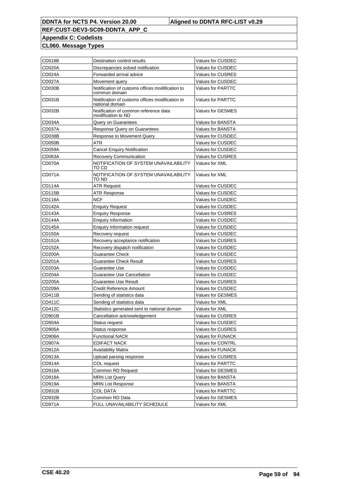**REF:CUST-DEV3-SC09-DDNTA\_APP\_C Appendix C: Codelists**

**CL060. Message Types**

| CD018B        | Destination control results                                        | <b>Values for CUSDEC</b> |
|---------------|--------------------------------------------------------------------|--------------------------|
| <b>CD020A</b> | Discrepancies solved notification                                  | Values for CUSDEC        |
| CD024A        | Forwarded arrival advice                                           | Values for CUSRES        |
| CD027A        | Movement query                                                     | Values for CUSDEC        |
| <b>CD030B</b> | Notification of customs offices modification to<br>common domain   | Values for PARTTC        |
| CD031B        | Notification of customs offices modification to<br>national domain | <b>Values for PARTTC</b> |
| CD032B        | Notification of common reference data<br>modification to ND        | <b>Values for GESMES</b> |
| CD034A        | Query on Guarantees                                                | Values for BANSTA        |
| <b>CD037A</b> | Response Query on Guarantees                                       | Values for BANSTA        |
| <b>CD038B</b> | Response to Movement Query                                         | Values for CUSDEC        |
| <b>CD050B</b> | <b>ATR</b>                                                         | Values for CUSDEC        |
| <b>CD059A</b> | <b>Cancel Enquiry Notification</b>                                 | Values for CUSDEC        |
| CD063A        | Recovery Communication                                             | Values for CUSRES        |
| CD070A        | NOTIFICATION OF SYSTEM UNAVAILABILITY<br>TO CD                     | Values for XML           |
| CD071A        | NOTIFICATION OF SYSTEM UNAVAILABILITY<br>TO ND                     | Values for XML           |
| CD114A        | <b>ATR Request</b>                                                 | Values for CUSDEC        |
| <b>CD115B</b> | <b>ATR Response</b>                                                | Values for CUSDEC        |
| <b>CD118A</b> | <b>NCF</b>                                                         | Values for CUSDEC        |
| <b>CD142A</b> | <b>Enquiry Request</b>                                             | Values for CUSDEC        |
| CD143A        | <b>Enquiry Response</b>                                            | Values for CUSRES        |
| <b>CD144A</b> | <b>Enquiry information</b>                                         | Values for CUSDEC        |
| <b>CD145A</b> | <b>Enquiry information request</b>                                 | Values for CUSDEC        |
| <b>CD150A</b> | Recovery request                                                   | Values for CUSDEC        |
| <b>CD151A</b> | Recovery acceptance notification                                   | Values for CUSRES        |
| <b>CD152A</b> | Recovery dispatch notification                                     | Values for CUSDEC        |
| <b>CD200A</b> | <b>Guarantee Check</b>                                             | Values for CUSDEC        |
| CD201A        | <b>Guarantee Check Result</b>                                      | Values for CUSRES        |
| CD203A        | Guarantee Use                                                      | Values for CUSDEC        |
| <b>CD204A</b> | Guarantee Use Cancellation                                         | Values for CUSDEC        |
| <b>CD205A</b> | <b>Guarantee Use Result</b>                                        | Values for CUSRES        |
| <b>CD209A</b> | <b>Credit Reference Amount</b>                                     | Values for CUSDEC        |
| <b>CD411B</b> | Sending of statistics data                                         | Values for GESMES        |
| CD411C        | Sending of statistics data                                         | Values for XML           |
| CD412C        | Statistics generated sent to national domain                       | Values for XML           |
| CD901B        | Cancellation acknowledgement                                       | Values for CUSRES        |
| CD904A        | Status request                                                     | Values for CUSDEC        |
| CD905A        | Status response                                                    | Values for CUSRES        |
| CD906A        | <b>Functional NACK</b>                                             | Values for FUNACK        |
| <b>CD907A</b> | <b>EDIFACT NACK</b>                                                | <b>Values for CONTRL</b> |
| CD912A        | <b>Availability Matrix</b>                                         | Values for FUNACK        |
| CD913A        | Upload parsing response                                            | Values for CUSRES        |
| CD914A        | COL request                                                        | Values for PARTTC        |
| CD916A        | Common RD Request                                                  | Values for GESMES        |
| CD918A        | <b>MRN List Query</b>                                              | Values for BANSTA        |
| CD919A        | <b>MRN List Response</b>                                           | <b>Values for BANSTA</b> |
| CD931B        | <b>COL DATA</b>                                                    | Values for PARTTC        |
| CD932B        | Common RD Data                                                     | Values for GESMES        |
| CD971A        | FULL UNAVAILABILITY SCHEDULE                                       | Values for XML           |
|               |                                                                    |                          |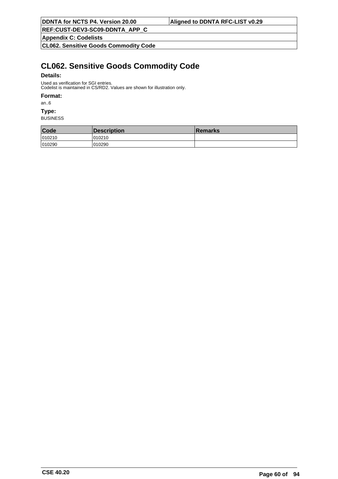| <b>DDNTA for NCTS P4. Version 20.00</b> |  |
|-----------------------------------------|--|
|-----------------------------------------|--|

**Appendix C: Codelists**

**CL062. Sensitive Goods Commodity Code**

## **CL062. Sensitive Goods Commodity Code**

#### **Details:**

Used as verification for SGI entries. Codelist is maintained in CS/RD2. Values are shown for illustration only.

#### **Format:**

an..6

### **Type:**

| Code   | <b>Description</b> | <b>Remarks</b> |
|--------|--------------------|----------------|
| 010210 | 010210             |                |
| 010290 | 1010290            |                |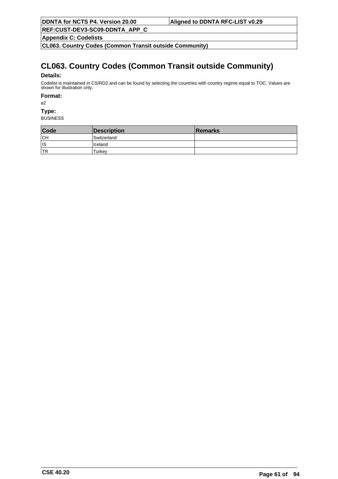**Aligned to DDNTA RFC-LIST v0.29** 

**REF:CUST-DEV3-SC09-DDNTA\_APP\_C**

**Appendix C: Codelists**

**CL063. Country Codes (Common Transit outside Community)**

## **CL063. Country Codes (Common Transit outside Community)**

#### **Details:**

Codelist is maintained in CS/RD2 and can be found by selecting the countries with country regime equal to TOC. Values are shown for illustration only.

#### **Format:**

a2

### **Type:**

| Code       | Description     | <b>Remarks</b> |
|------------|-----------------|----------------|
| CH         | Switzerland     |                |
| lıs        | <b>I</b> celand |                |
| <b>ITR</b> | Turkev          |                |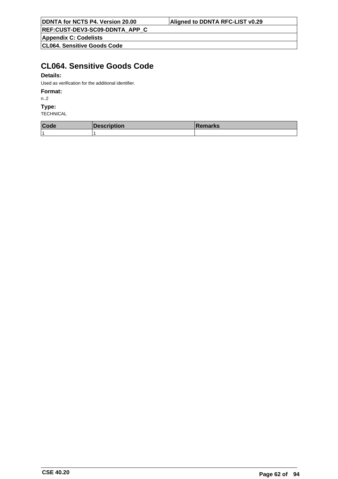| <b>DDNTA for NCTS P4. Version 20.00</b> | Aligned to DDNTA RFC-LIST v0.29 |
|-----------------------------------------|---------------------------------|
| <b>REF:CUST-DEV3-SC09-DDNTA APP C</b>   |                                 |
| Appendix C: Codelists                   |                                 |

**CL064. Sensitive Goods Code**

## **CL064. Sensitive Goods Code**

#### **Details:**

Used as verification for the additional identifier.

#### **Format:**

n..2

#### **Type:**

| Code                    | <b>Description</b> | ∣Remarks |
|-------------------------|--------------------|----------|
| $\overline{\mathbf{A}}$ |                    |          |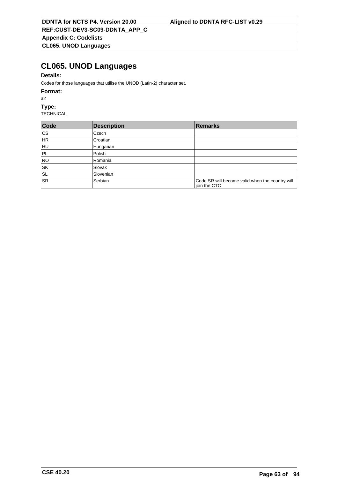**Appendix C: Codelists**

**CL065. UNOD Languages**

## **CL065. UNOD Languages**

### **Details:**

Codes for those languages that utilise the UNOD (Latin-2) character set.

#### **Format:**

a2

#### **Type:**

| Code      | Description | Remarks                                                         |
|-----------|-------------|-----------------------------------------------------------------|
| cs        | Czech       |                                                                 |
| HR        | Croatian    |                                                                 |
| HU        | Hungarian   |                                                                 |
| PL        | Polish      |                                                                 |
| RO)       | Romania     |                                                                 |
| sĸ        | Slovak      |                                                                 |
| $ S_L $   | Slovenian   |                                                                 |
| <b>SR</b> | Serbian     | Code SR will become valid when the country will<br>join the CTC |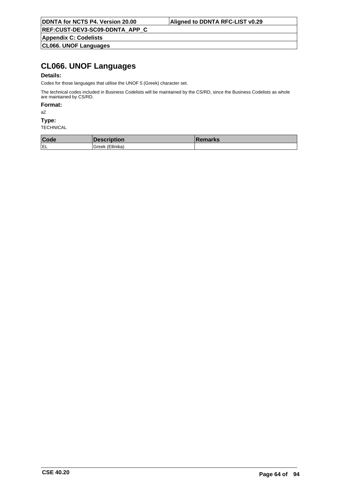**Appendix C: Codelists**

**CL066. UNOF Languages**

## **CL066. UNOF Languages**

#### **Details:**

Codes for those languages that utilise the UNOF 5 (Greek) character set.

The technical codes included in Business Codelists will be maintained by the CS/RD, since the Business Codelists as whole are maintained by CS/RD.

#### **Format:**

a2

#### **Type:**

| Code | Description        | <b>?emarks</b> |
|------|--------------------|----------------|
| IEL  | (Ellinika<br>ireek |                |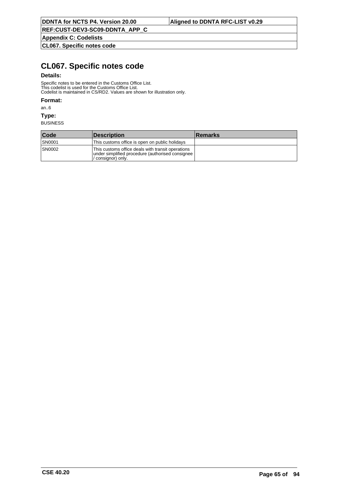**Appendix C: Codelists**

**CL067. Specific notes code**

## **CL067. Specific notes code**

#### **Details:**

Specific notes to be entered in the Customs Office List. This codelist is used for the Customs Office List. Codelist is maintained in CS/RD2. Values are shown for illustration only.

**Format:**

an..6

**Type:**

| <b>Code</b> | <b>Description</b>                                                                                                           | <b>Remarks</b> |
|-------------|------------------------------------------------------------------------------------------------------------------------------|----------------|
| SN0001      | This customs office is open on public holidays                                                                               |                |
| SN0002      | This customs office deals with transit operations<br>under simplified procedure (authorised consignee)<br>' consignor) only. |                |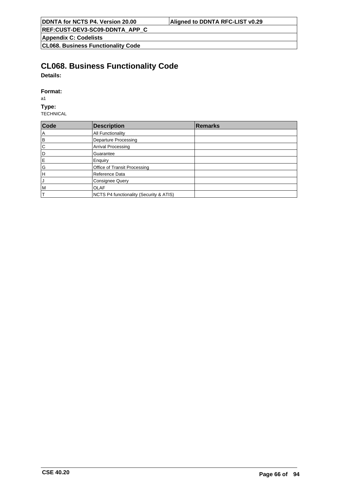**Appendix C: Codelists**

**CL068. Business Functionality Code**

# **CL068. Business Functionality Code**

**Details:**

#### **Format:**

a1

**Type:** TECHNICAL

| Code | <b>Description</b>                      | Remarks |
|------|-----------------------------------------|---------|
| A    | All Functionality                       |         |
| B    | Departure Processing                    |         |
| c    | <b>Arrival Processing</b>               |         |
| O    | Guarantee                               |         |
| E    | Enquiry                                 |         |
| G    | Office of Transit Processing            |         |
| lн   | Reference Data                          |         |
| IJ   | <b>Consignee Query</b>                  |         |
| lм   | <b>OLAF</b>                             |         |
| Iт   | NCTS P4 functionality (Security & ATIS) |         |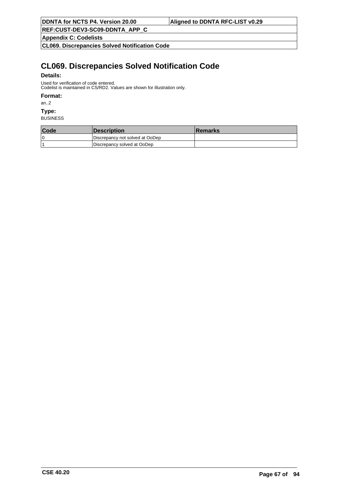**Appendix C: Codelists**

**CL069. Discrepancies Solved Notification Code**

## **CL069. Discrepancies Solved Notification Code**

#### **Details:**

Used for verification of code entered.

Codelist is maintained in CS/RD2. Values are shown for illustration only.

#### **Format:**

an..2

**Type:**

| Code | <i><b>Description</b></i>       | <b>Remarks</b> |
|------|---------------------------------|----------------|
| 0 ا  | Discrepancy not solved at OoDep |                |
|      | Discrepancy solved at OoDep     |                |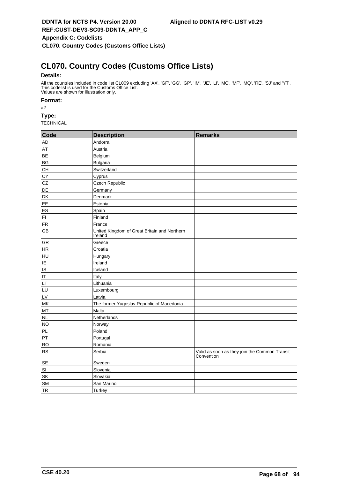**Appendix C: Codelists**

**CL070. Country Codes (Customs Office Lists)**

# **CL070. Country Codes (Customs Office Lists)**

#### **Details:**

All the countries included in code list CL009 excluding 'AX', 'GF', 'GG', 'GP', 'IM', 'JE', 'LI', 'MC', 'MF', 'MQ', 'RE', 'SJ' and 'YT'. This codelist is used for the Customs Office List. Values are shown for illustration only.

**Format:**

a2

**Type:**

| Code      | <b>Description</b>                                      | <b>Remarks</b>                                              |
|-----------|---------------------------------------------------------|-------------------------------------------------------------|
| AD        | Andorra                                                 |                                                             |
| AT        | Austria                                                 |                                                             |
| BE        | Belgium                                                 |                                                             |
| <b>BG</b> | <b>Bulgaria</b>                                         |                                                             |
| CH        | Switzerland                                             |                                                             |
| CY        | Cyprus                                                  |                                                             |
| CZ        | Czech Republic                                          |                                                             |
| DE        | Germany                                                 |                                                             |
| DK        | Denmark                                                 |                                                             |
| EE        | Estonia                                                 |                                                             |
| ES        | Spain                                                   |                                                             |
| FI        | Finland                                                 |                                                             |
| FR        | France                                                  |                                                             |
| <b>GB</b> | United Kingdom of Great Britain and Northern<br>Ireland |                                                             |
| GR        | Greece                                                  |                                                             |
| <b>HR</b> | Croatia                                                 |                                                             |
| HU        | Hungary                                                 |                                                             |
| IE        | Ireland                                                 |                                                             |
| <b>IS</b> | Iceland                                                 |                                                             |
| IT        | Italy                                                   |                                                             |
| LT        | Lithuania                                               |                                                             |
| LU        | Luxembourg                                              |                                                             |
| LV        | Latvia                                                  |                                                             |
| MK        | The former Yugoslav Republic of Macedonia               |                                                             |
| MT        | Malta                                                   |                                                             |
| $\sf NL$  | Netherlands                                             |                                                             |
| <b>NO</b> | Norway                                                  |                                                             |
| PL        | Poland                                                  |                                                             |
| PT        | Portugal                                                |                                                             |
| <b>RO</b> | Romania                                                 |                                                             |
| <b>RS</b> | Serbia                                                  | Valid as soon as they join the Common Transit<br>Convention |
| SE        | Sweden                                                  |                                                             |
| SI        | Slovenia                                                |                                                             |
| SK        | Slovakia                                                |                                                             |
| <b>SM</b> | San Marino                                              |                                                             |
| <b>TR</b> | Turkey                                                  |                                                             |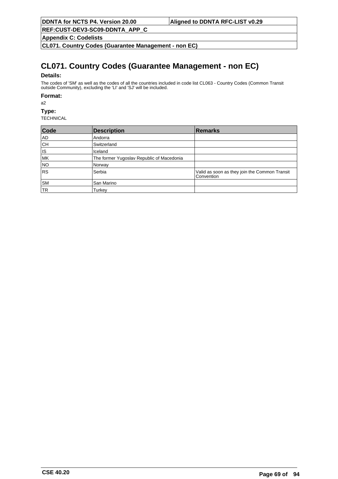**Appendix C: Codelists**

**CL071. Country Codes (Guarantee Management - non EC)**

## **CL071. Country Codes (Guarantee Management - non EC)**

#### **Details:**

The codes of 'SM' as well as the codes of all the countries included in code list CL063 - Country Codes (Common Transit outside Community), excluding the 'LI' and 'SJ' will be included.

#### **Format:**

a2

**Type:**

| Code      | Description                               | <b>Remarks</b>                                              |
|-----------|-------------------------------------------|-------------------------------------------------------------|
| AD        | l Andorra                                 |                                                             |
| ∣сн       | Switzerland                               |                                                             |
| ∣ıs       | lceland                                   |                                                             |
| MK        | The former Yugoslav Republic of Macedonia |                                                             |
| NO        | Norway                                    |                                                             |
| RS        | Serbia                                    | Valid as soon as they join the Common Transit<br>Convention |
| <b>SM</b> | l San Marino                              |                                                             |
| <b>TR</b> | Turkey                                    |                                                             |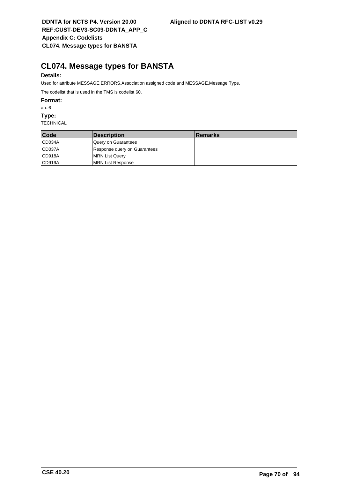**DDNTA for NCTS P4. Version 20.00 Aligned to DDNTA RFC-LIST v0.29**

**REF:CUST-DEV3-SC09-DDNTA\_APP\_C**

**Appendix C: Codelists**

**CL074. Message types for BANSTA**

## **CL074. Message types for BANSTA**

#### **Details:**

Used for attribute MESSAGE ERRORS.Association assigned code and MESSAGE.Message Type.

The codelist that is used in the TMS is codelist 60.

**Format:**

an..6

**Type:**

| Code   | <b>Description</b>           | <b>Remarks</b> |
|--------|------------------------------|----------------|
| CD034A | lQuerv on Guarantees         |                |
| CD037A | Response query on Guarantees |                |
| CD918A | MRN List Query               |                |
| CD919A | <b>IMRN List Response</b>    |                |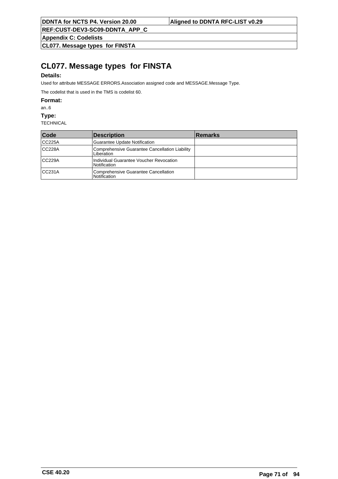**Appendix C: Codelists**

**CL077. Message types for FINSTA**

# **CL077. Message types for FINSTA**

#### **Details:**

Used for attribute MESSAGE ERRORS.Association assigned code and MESSAGE.Message Type.

The codelist that is used in the TMS is codelist 60.

**Format:**

an..6

**Type:**

| Code   | Description                                                    | <b>Remarks</b> |
|--------|----------------------------------------------------------------|----------------|
| CC225A | Guarantee Update Notification                                  |                |
| CC228A | Comprehensive Guarantee Cancellation Liability<br>Liberation   |                |
| CC229A | Individual Guarantee Voucher Revocation<br><b>Notification</b> |                |
| CC231A | Comprehensive Guarantee Cancellation<br>l Notification         |                |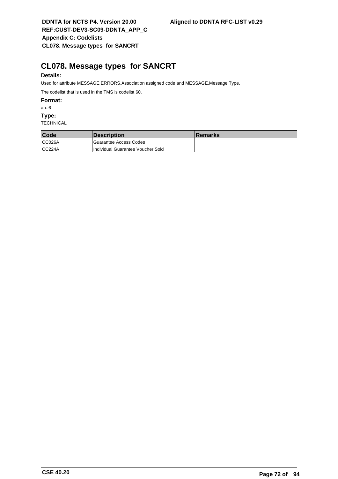**DDNTA for NCTS P4. Version 20.00 Aligned to DDNTA RFC-LIST v0.29**

**REF:CUST-DEV3-SC09-DDNTA\_APP\_C**

**Appendix C: Codelists**

**CL078. Message types for SANCRT**

# **CL078. Message types for SANCRT**

#### **Details:**

Used for attribute MESSAGE ERRORS.Association assigned code and MESSAGE.Message Type.

The codelist that is used in the TMS is codelist 60.

**Format:**

an..6

**Type:**

| Code   | <b>Description</b>                | <b>Remarks</b> |
|--------|-----------------------------------|----------------|
| CC026A | Guarantee Access Codes            |                |
| CC224A | Individual Guarantee Voucher Sold |                |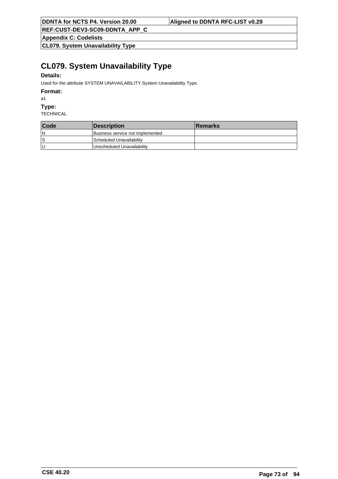**REF:CUST-DEV3-SC09-DDNTA\_APP\_C**

**Appendix C: Codelists**

**CL079. System Unavailability Type**

# **CL079. System Unavailability Type**

## **Details:**

Used for the attribute SYSTEM UNAVAILABILITY.System Unavailability Type.

### **Format:**

a1

### **Type:**

| Code | Description                      | <b>IRemarks</b> |
|------|----------------------------------|-----------------|
| ١N   | Business service not implemented |                 |
| ١s   | Scheduled Unavailability         |                 |
| ΙU   | Unscheduled Unavailability       |                 |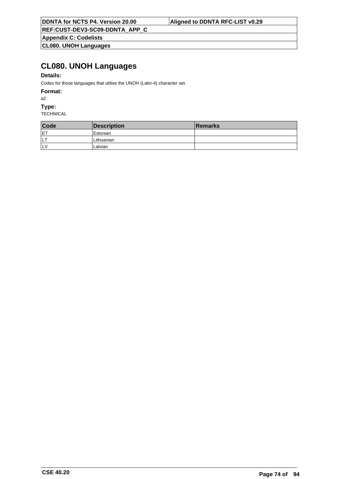**REF:CUST-DEV3-SC09-DDNTA\_APP\_C**

**Appendix C: Codelists**

**CL080. UNOH Languages**

# **CL080. UNOH Languages**

## **Details:**

Codes for those languages that utilise the UNOH (Latin-4) character set.

### **Format:**

a2

## **Type:**

| Code       | Description           | <b>Remarks</b> |
|------------|-----------------------|----------------|
| <b>IET</b> | <sup>I</sup> Estonian |                |
| דוו        | Lithuanian            |                |
| <b>ILV</b> | Latvian               |                |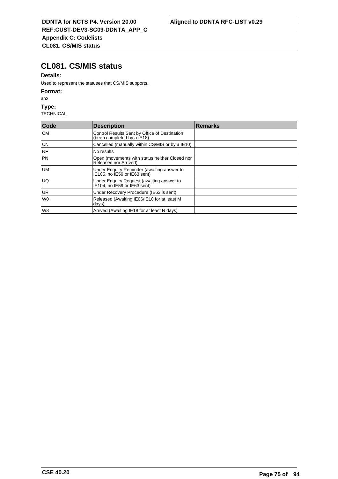**Appendix C: Codelists CL081. CS/MIS status**

# **CL081. CS/MIS status**

## **Details:**

Used to represent the statuses that CS/MIS supports.

### **Format:**

an2

## **Type:**

| Code           | <b>Description</b>                                                          | <b>Remarks</b> |
|----------------|-----------------------------------------------------------------------------|----------------|
| lcm            | Control Results Sent by Office of Destination<br>(been completed by a IE18) |                |
| CN             | Cancelled (manually within CS/MIS or by a IE10)                             |                |
| INF            | No results                                                                  |                |
| <b>PN</b>      | Open (movements with status neither Closed nor<br>Released nor Arrived)     |                |
| lum            | Under Enguiry Reminder (awaiting answer to<br>IE105, no IE59 or IE63 sent)  |                |
| IUQ.           | Under Enquiry Request (awaiting answer to<br>IE104, no IE59 or IE63 sent)   |                |
| UR.            | Under Recovery Procedure (IE63 is sent)                                     |                |
| W <sub>0</sub> | Released (Awaiting IE06/IE10 for at least M<br>days)                        |                |
| l W8           | Arrived (Awaiting IE18 for at least N days)                                 |                |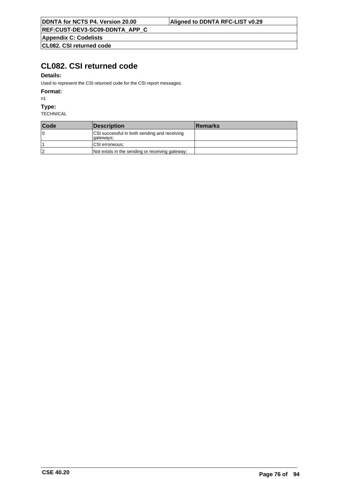**REF:CUST-DEV3-SC09-DDNTA\_APP\_C**

**Appendix C: Codelists**

**CL082. CSI returned code**

# **CL082. CSI returned code**

## **Details:**

Used to represent the CSI returned code for the CSI report messages.

### **Format:**

n1

### **Type:**

| Code | Description                                               | <b>Remarks</b> |
|------|-----------------------------------------------------------|----------------|
| ١O   | CSI successful in both sending and receiving<br>gateways; |                |
|      | CSI erroneous:                                            |                |
| 12   | Not exists in the sending or receiving gateway;           |                |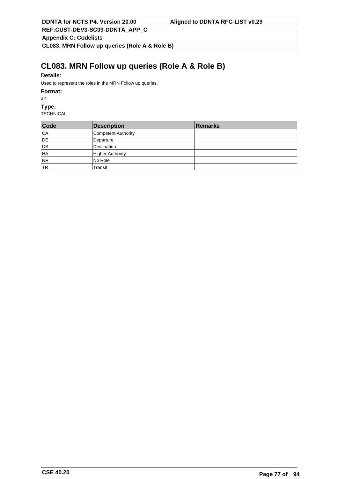**REF:CUST-DEV3-SC09-DDNTA\_APP\_C**

**Appendix C: Codelists**

**CL083. MRN Follow up queries (Role A & Role B)**

# **CL083. MRN Follow up queries (Role A & Role B)**

## **Details:**

Used to represent the roles in the MRN Follow up queries.

### **Format:**

a2

### **Type:**

| Code      | Description             | Remarks |
|-----------|-------------------------|---------|
| CA        | Competent Authority     |         |
| DE        | Departure               |         |
| DS        | Destination             |         |
| HA        | <b>Higher Authority</b> |         |
| NR        | No Role                 |         |
| <b>TR</b> | Transit                 |         |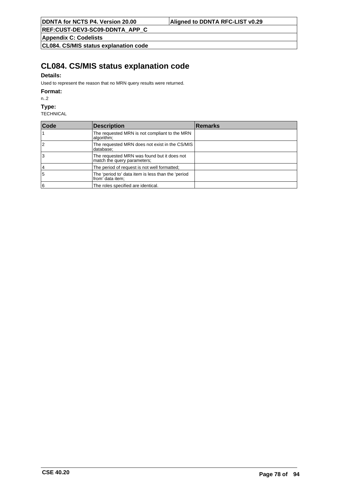**REF:CUST-DEV3-SC09-DDNTA\_APP\_C**

**Appendix C: Codelists**

**CL084. CS/MIS status explanation code**

# **CL084. CS/MIS status explanation code**

## **Details:**

Used to represent the reason that no MRN query results were returned.

### **Format:**

n..2

### **Type:**

| Code | Description                                                                | <b>Remarks</b> |
|------|----------------------------------------------------------------------------|----------------|
|      | The requested MRN is not compliant to the MRN<br>algorithm;                |                |
| 12   | The requested MRN does not exist in the CS/MIS<br>database;                |                |
| lЗ   | The requested MRN was found but it does not<br>match the query parameters; |                |
| 14   | The period of request is not well formatted;                               |                |
| 5    | The 'period to' data item is less than the 'period<br>from' data item;     |                |
| 6    | The roles specified are identical.                                         |                |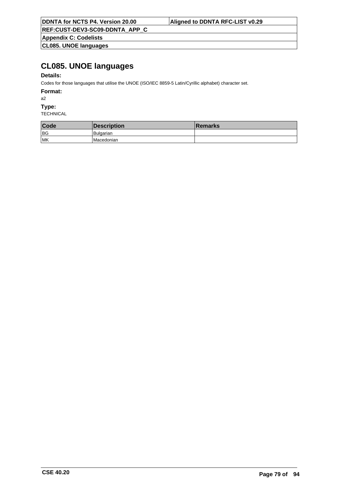## **Aligned to DDNTA RFC-LIST v0.29**

**REF:CUST-DEV3-SC09-DDNTA\_APP\_C**

**Appendix C: Codelists**

**CL085. UNOE languages**

# **CL085. UNOE languages**

## **Details:**

Codes for those languages that utilise the UNOE (ISO/IEC 8859-5 Latin/Cyrillic alphabet) character set.

### **Format:**

a2

**Type:**

| Code | Description        | ∣Remarks |
|------|--------------------|----------|
| BG   | Bulgarian          |          |
| lmk  | <b>IMacedonian</b> |          |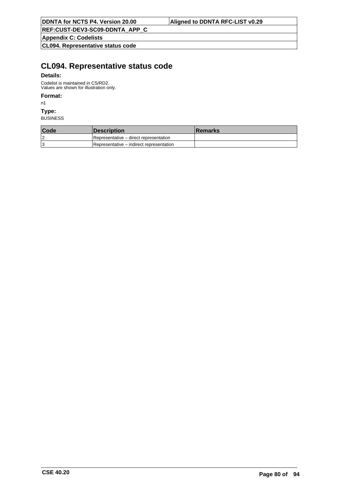| DDNTA for NCTS P4. Version 20.00 | Aligned to DDNTA RFC-LIST v0.29 |
|----------------------------------|---------------------------------|
| --- AUA- --VA AAAA --VIII - A    |                                 |

**Appendix C: Codelists**

**CL094. Representative status code**

# **CL094. Representative status code**

## **Details:**

Codelist is maintained in CS/RD2. Values are shown for illustration only.

### **Format:**

n1

**Type:**

| Code | <i><b>Description</b></i>                | <b>Remarks</b> |
|------|------------------------------------------|----------------|
| 12   | Representative – direct representation   |                |
| Ι3   | Representative – indirect representation |                |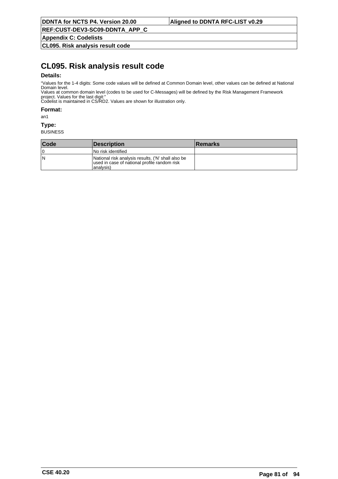**Appendix C: Codelists**

**CL095. Risk analysis result code**

# **CL095. Risk analysis result code**

### **Details:**

"Values for the 1-4 digits: Some code values will be defined at Common Domain level, other values can be defined at National Domain level.

Values at common domain level (codes to be used for C-Messages) will be defined by the Risk Management Framework project. Values for the last digit:" Codelist is maintained in CS/RD2. Values are shown for illustration only.

**Format:**

an1

## **Type:**

| Code | <i><b>Description</b></i>                                                                                        | <b>Remarks</b> |
|------|------------------------------------------------------------------------------------------------------------------|----------------|
| l O  | INo risk identified                                                                                              |                |
| ١N   | National risk analysis results. ('N' shall also be<br>lused in case of national profile random risk<br>analysis) |                |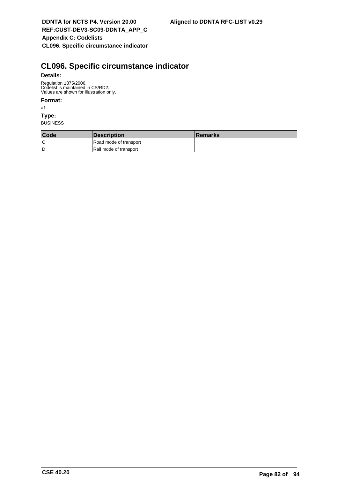| DDNTA for NCTS P4. Version 20.00      | Aligned to DDNTA RFC-LIST v0.29 |
|---------------------------------------|---------------------------------|
| <b>REF:CUST-DEV3-SC09-DDNTA APP C</b> |                                 |
| Appendix C: Codelists                 |                                 |

**CL096. Specific circumstance indicator**

# **CL096. Specific circumstance indicator**

## **Details:**

Regulation 1875/2006. Codelist is maintained in CS/RD2. Values are shown for illustration only.

### **Format:**

a1

**Type:**

| Code | Description            | <b>Remarks</b> |
|------|------------------------|----------------|
| ١c   | Road mode of transport |                |
| ۱D   | Rail mode of transport |                |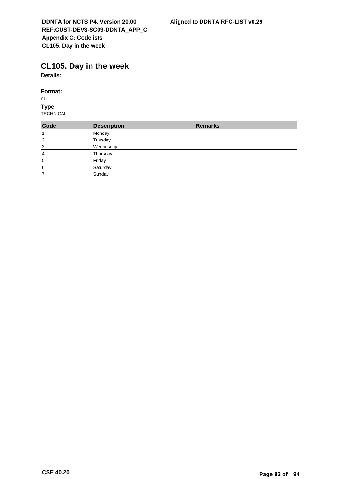**Appendix C: Codelists CL105. Day in the week**

# **CL105. Day in the week**

**Details:**

## **Format:**

n1

**Type:** TECHNICAL

| Code           | <b>Description</b> | Remarks |
|----------------|--------------------|---------|
| ⊧1             | Monday             |         |
| 2              | Tuesday            |         |
| 3              | Wednesday          |         |
| 4              | Thursday           |         |
| 5              | Friday             |         |
| 6              | Saturday           |         |
| $\overline{7}$ | Sunday             |         |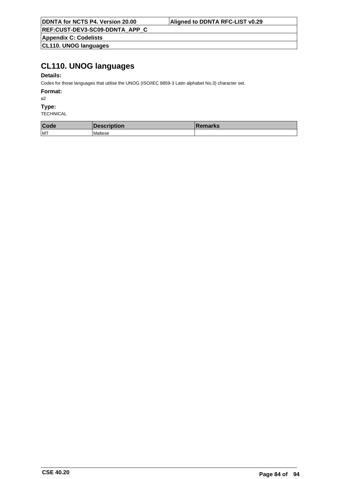| <b>DDNTA for NCTS P4. Version 20.00</b> |  |
|-----------------------------------------|--|
|-----------------------------------------|--|

## **Aligned to DDNTA RFC-LIST v0.29**

**REF:CUST-DEV3-SC09-DDNTA\_APP\_C**

**Appendix C: Codelists**

**CL110. UNOG languages**

# **CL110. UNOG languages**

## **Details:**

Codes for those languages that utilise the UNOG (ISO/IEC 8859-3 Latin alphabet No.3) character set.

### **Format:**

a2

## **Type:**

| Code       | <b>Description</b> | <b>Remarks</b> |
|------------|--------------------|----------------|
| <b>IMT</b> | l Maltese          |                |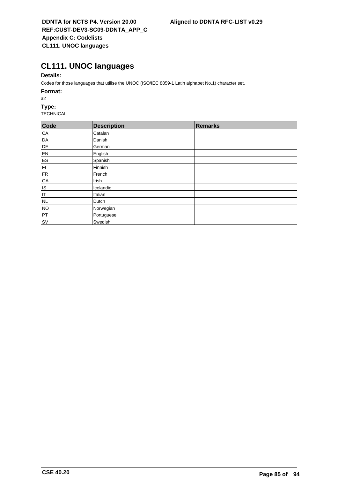**REF:CUST-DEV3-SC09-DDNTA\_APP\_C**

**Appendix C: Codelists**

**CL111. UNOC languages**

# **CL111. UNOC languages**

## **Details:**

Codes for those languages that utilise the UNOC (ISO/IEC 8859-1 Latin alphabet No.1) character set.

### **Format:**

a2

## **Type:**

| Code                                                                                                            | <b>Description</b> | Remarks |
|-----------------------------------------------------------------------------------------------------------------|--------------------|---------|
| CA                                                                                                              | Catalan            |         |
| $\overline{\mathsf{DA}}$                                                                                        | Danish             |         |
| DE                                                                                                              | German             |         |
|                                                                                                                 | English            |         |
| EN<br>FI<br>FR<br>FR                                                                                            | Spanish            |         |
|                                                                                                                 | Finnish            |         |
|                                                                                                                 | French             |         |
| G A                                                                                                             | Irish              |         |
|                                                                                                                 | Icelandic          |         |
|                                                                                                                 | Italian            |         |
|                                                                                                                 | Dutch              |         |
|                                                                                                                 | Norwegian          |         |
| $\frac{15}{17}$ $\frac{17}{10}$ $\frac{10}{19}$ $\frac{12}{19}$ $\frac{12}{19}$ $\frac{12}{19}$ $\frac{12}{19}$ | Portuguese         |         |
| sv                                                                                                              | Swedish            |         |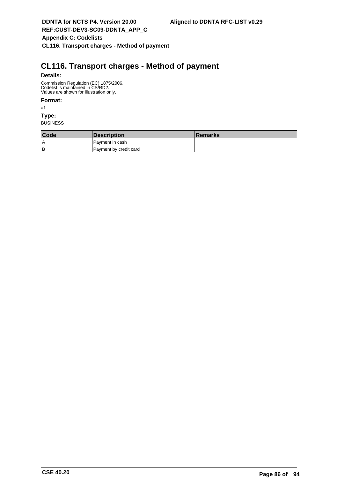**Appendix C: Codelists**

**CL116. Transport charges - Method of payment**

# **CL116. Transport charges - Method of payment**

## **Details:**

Commission Regulation (EC) 1875/2006. Codelist is maintained in CS/RD2. Values are shown for illustration only.

### **Format:**

a1

**Type:**

| Code | Description            | ∣Remarks |
|------|------------------------|----------|
| A    | I Payment in cash      |          |
| B    | Payment by credit card |          |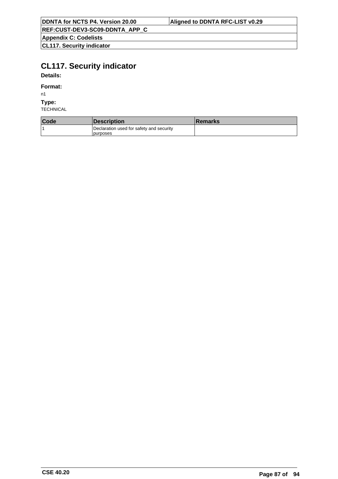| Aligned to DDNTA RFC-LIST v0.29 |
|---------------------------------|
|                                 |

**DDNTA for NCTS P4. Version 20.00** 

**Appendix C: Codelists CL117. Security indicator**

# **CL117. Security indicator**

**Details:**

## **Format:**

n1

## **Type:**

| Code | <i><b>Description</b></i>                             | <b>Remarks</b> |
|------|-------------------------------------------------------|----------------|
|      | Declaration used for safety and security<br> purposes |                |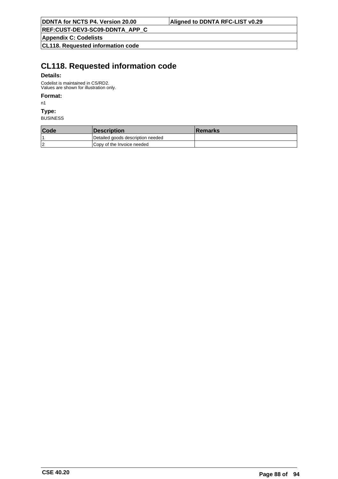| DDNTA for NCTS P4. Version 20.00      | <b>Aligned to DDNTA RFC-LIST v0.29</b> |
|---------------------------------------|----------------------------------------|
| <b>REF:CUST-DEV3-SC09-DDNTA APP C</b> |                                        |

**Appendix C: Codelists**

**CL118. Requested information code**

# **CL118. Requested information code**

## **Details:**

Codelist is maintained in CS/RD2. Values are shown for illustration only.

## **Format:**

n1

**Type:**

| Code | <i><b>Description</b></i>         | <b>Remarks</b> |
|------|-----------------------------------|----------------|
|      | Detailed goods description needed |                |
| 2    | Copy of the Invoice needed        |                |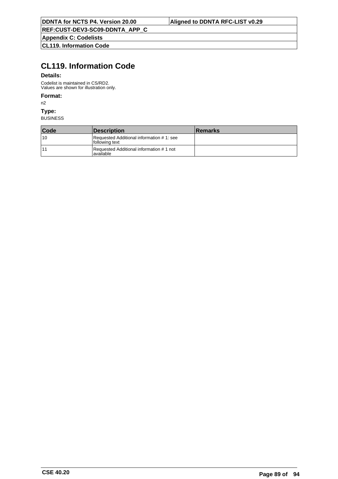**Appendix C: Codelists CL119. Information Code**

# **CL119. Information Code**

## **Details:**

Codelist is maintained in CS/RD2. Values are shown for illustration only.

## **Format:**

n2

## **Type:**

| Code | <i><b>Description</b></i>                                  | <b>Remarks</b> |
|------|------------------------------------------------------------|----------------|
| 10   | Requested Additional information #1: see<br>following text |                |
| 11   | Requested Additional information #1 not<br>lavailable      |                |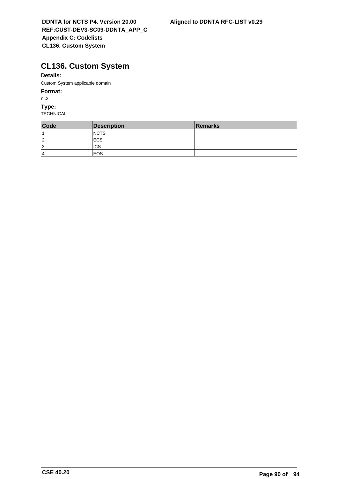**Appendix C: Codelists**

**CL136. Custom System**

# **CL136. Custom System**

## **Details:**

Custom System applicable domain

## **Format:**

n..2

**Type:**

| Code           | Description | Remarks |
|----------------|-------------|---------|
|                | <b>NCTS</b> |         |
| 2              | <b>ECS</b>  |         |
| 3              | <b>ICS</b>  |         |
| $\overline{4}$ | <b>EOS</b>  |         |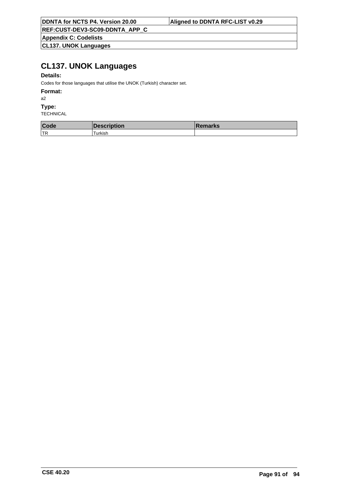## **Aligned to DDNTA RFC-LIST v0.29**

**REF:CUST-DEV3-SC09-DDNTA\_APP\_C**

**Appendix C: Codelists**

**CL137. UNOK Languages**

# **CL137. UNOK Languages**

## **Details:**

Codes for those languages that utilise the UNOK (Turkish) character set.

### **Format:**

a2

### **Type:**

| Code            | <b>Description</b> | ∣Remarks |
|-----------------|--------------------|----------|
| <sup>I</sup> TR | -urkish            |          |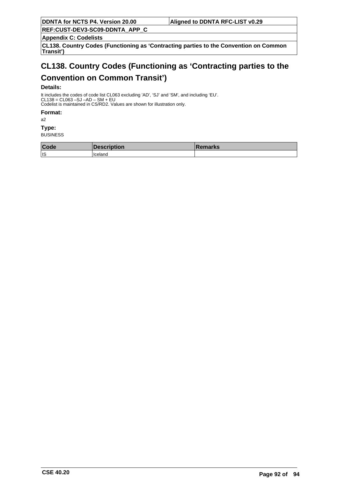**REF:CUST-DEV3-SC09-DDNTA\_APP\_C**

**Appendix C: Codelists**

**CL138. Country Codes (Functioning as 'Contracting parties to the Convention on Common Transit')**

# **CL138. Country Codes (Functioning as 'Contracting parties to the**

# **Convention on Common Transit')**

## **Details:**

It includes the codes of code list CL063 excluding 'AD', 'SJ' and 'SM', and including 'EU'. CL138 = CL063 –SJ –AD – SM + EU Codelist is maintained in CS/RD2. Values are shown for illustration only.

### **Format:**

a2

**Type:**

| Code | $-2$<br>HSCL.<br>JUUI | emarks |
|------|-----------------------|--------|
| ∣ıs  | Hceland               |        |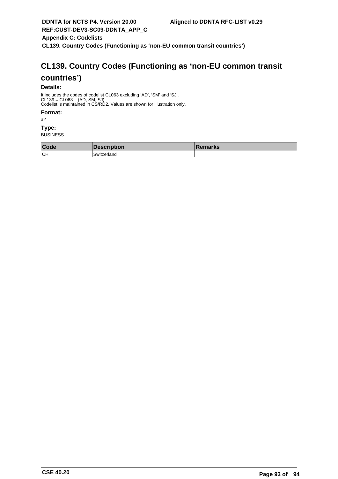| DDNTA for NCTS P4. Version 20.00 |  |
|----------------------------------|--|
|----------------------------------|--|

**Aligned to DDNTA RFC-LIST v0.29** 

**REF:CUST-DEV3-SC09-DDNTA\_APP\_C**

**Appendix C: Codelists**

**CL139. Country Codes (Functioning as 'non-EU common transit countries')**

# **CL139. Country Codes (Functioning as 'non-EU common transit**

# **countries')**

### **Details:**

It includes the codes of codelist CL063 excluding 'AD', 'SM' and 'SJ'. CL139 = CL063 – (AD, SM, SJ). Codelist is maintained in CS/RD2. Values are shown for illustration only.

### **Format:**

a2

## **Type:**

| Code | ੋ*tion      | ∣Remarks |
|------|-------------|----------|
| CH   | Switzerland |          |